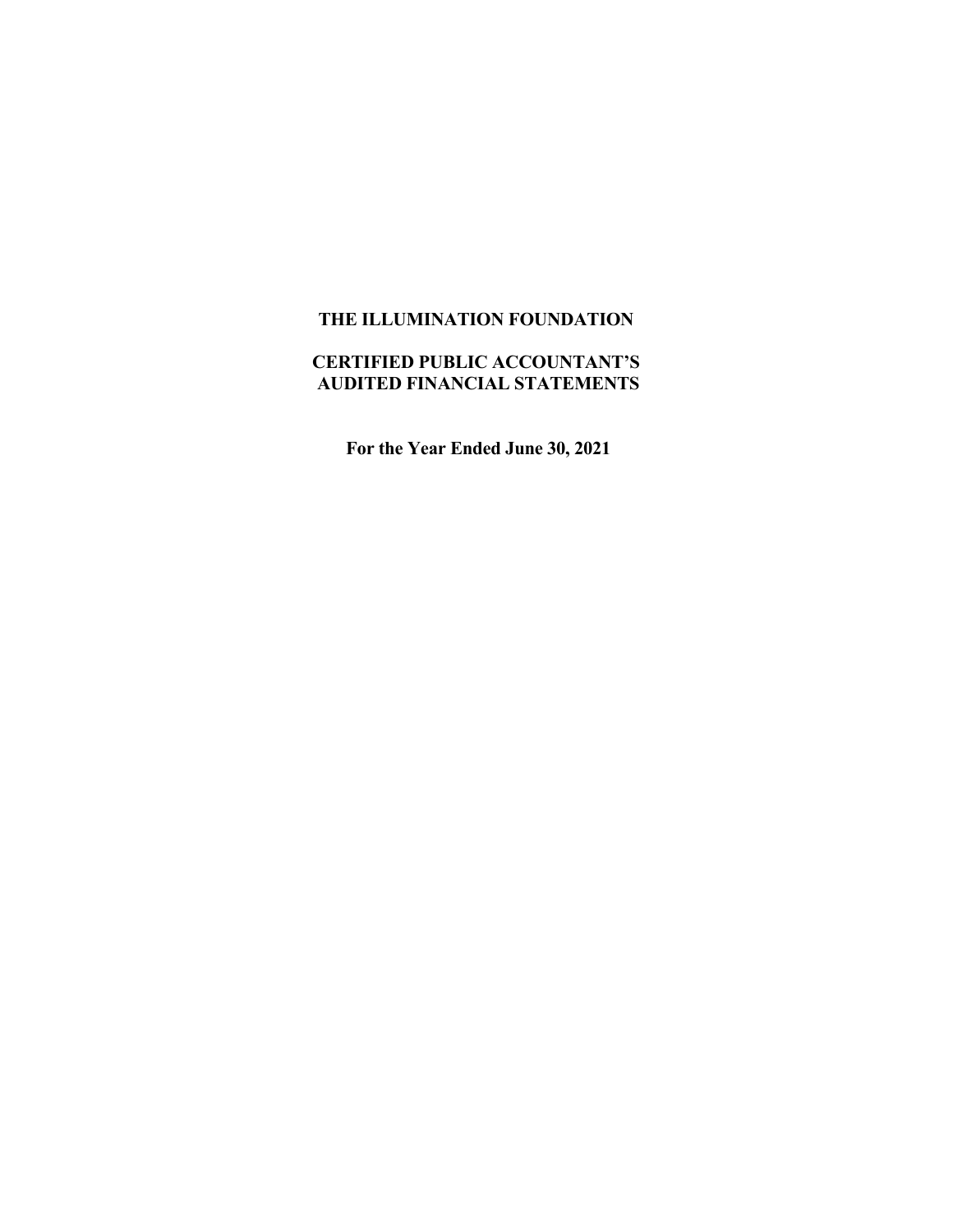## **CERTIFIED PUBLIC ACCOUNTANT'S AUDITED FINANCIAL STATEMENTS**

 **For the Year Ended June 30, 2021**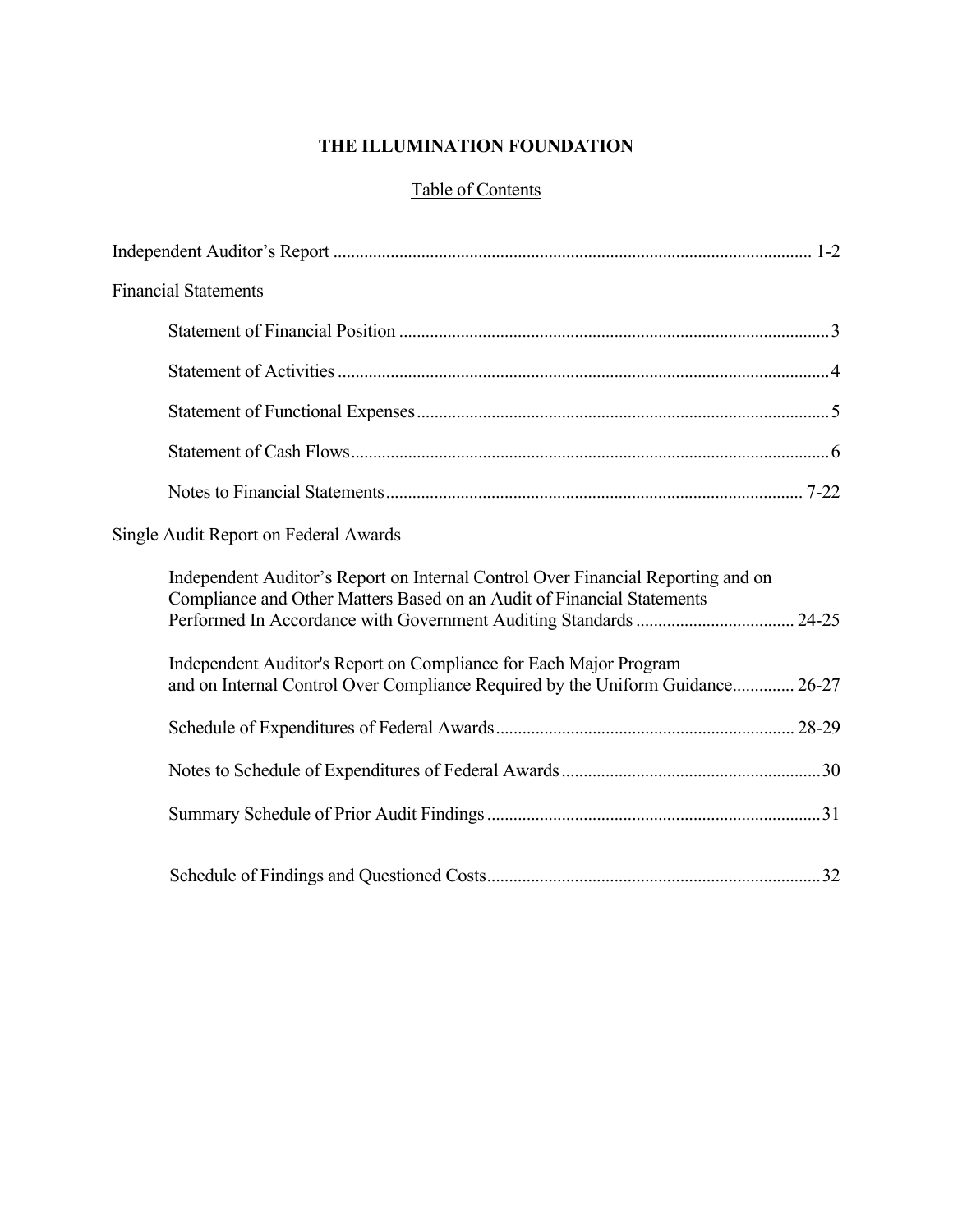## Table of Contents

| <b>Financial Statements</b>                                                                                                                                |
|------------------------------------------------------------------------------------------------------------------------------------------------------------|
|                                                                                                                                                            |
|                                                                                                                                                            |
|                                                                                                                                                            |
|                                                                                                                                                            |
|                                                                                                                                                            |
| Single Audit Report on Federal Awards                                                                                                                      |
| Independent Auditor's Report on Internal Control Over Financial Reporting and on<br>Compliance and Other Matters Based on an Audit of Financial Statements |
| Independent Auditor's Report on Compliance for Each Major Program<br>and on Internal Control Over Compliance Required by the Uniform Guidance 26-27        |
|                                                                                                                                                            |
|                                                                                                                                                            |
|                                                                                                                                                            |
|                                                                                                                                                            |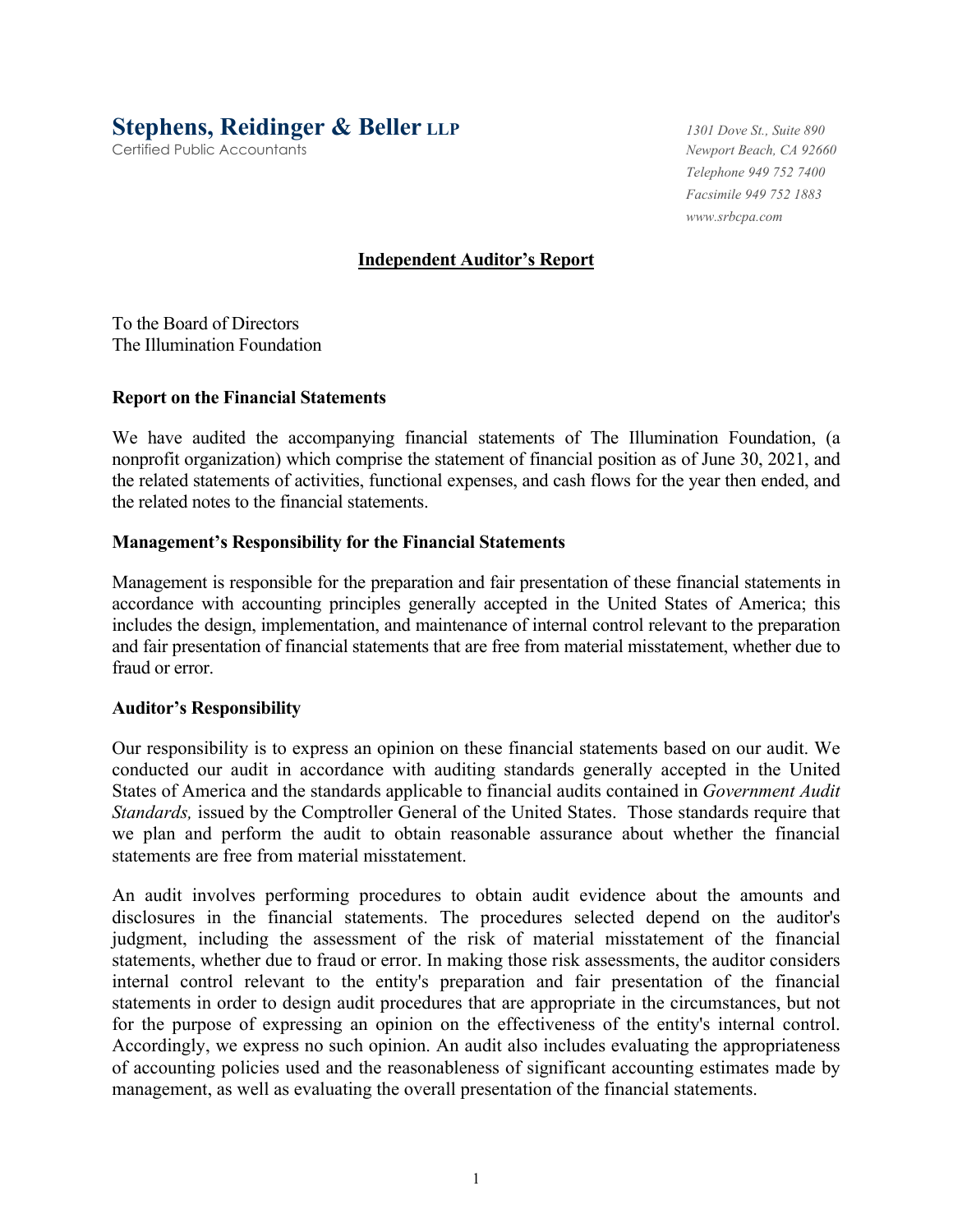## **Stephens, Reidinger & Beller LLP** *1301 Dove St., Suite 890*

Certified Public Accountants *Newport Beach, CA 92660*

*Telephone 949 752 7400 Facsimile 949 752 1883 www.srbcpa.com* 

#### **Independent Auditor's Report**

To the Board of Directors The Illumination Foundation

#### **Report on the Financial Statements**

We have audited the accompanying financial statements of The Illumination Foundation, (a nonprofit organization) which comprise the statement of financial position as of June 30, 2021, and the related statements of activities, functional expenses, and cash flows for the year then ended, and the related notes to the financial statements.

#### **Management's Responsibility for the Financial Statements**

Management is responsible for the preparation and fair presentation of these financial statements in accordance with accounting principles generally accepted in the United States of America; this includes the design, implementation, and maintenance of internal control relevant to the preparation and fair presentation of financial statements that are free from material misstatement, whether due to fraud or error.

#### **Auditor's Responsibility**

Our responsibility is to express an opinion on these financial statements based on our audit. We conducted our audit in accordance with auditing standards generally accepted in the United States of America and the standards applicable to financial audits contained in *Government Audit Standards,* issued by the Comptroller General of the United States. Those standards require that we plan and perform the audit to obtain reasonable assurance about whether the financial statements are free from material misstatement.

An audit involves performing procedures to obtain audit evidence about the amounts and disclosures in the financial statements. The procedures selected depend on the auditor's judgment, including the assessment of the risk of material misstatement of the financial statements, whether due to fraud or error. In making those risk assessments, the auditor considers internal control relevant to the entity's preparation and fair presentation of the financial statements in order to design audit procedures that are appropriate in the circumstances, but not for the purpose of expressing an opinion on the effectiveness of the entity's internal control. Accordingly, we express no such opinion. An audit also includes evaluating the appropriateness of accounting policies used and the reasonableness of significant accounting estimates made by management, as well as evaluating the overall presentation of the financial statements.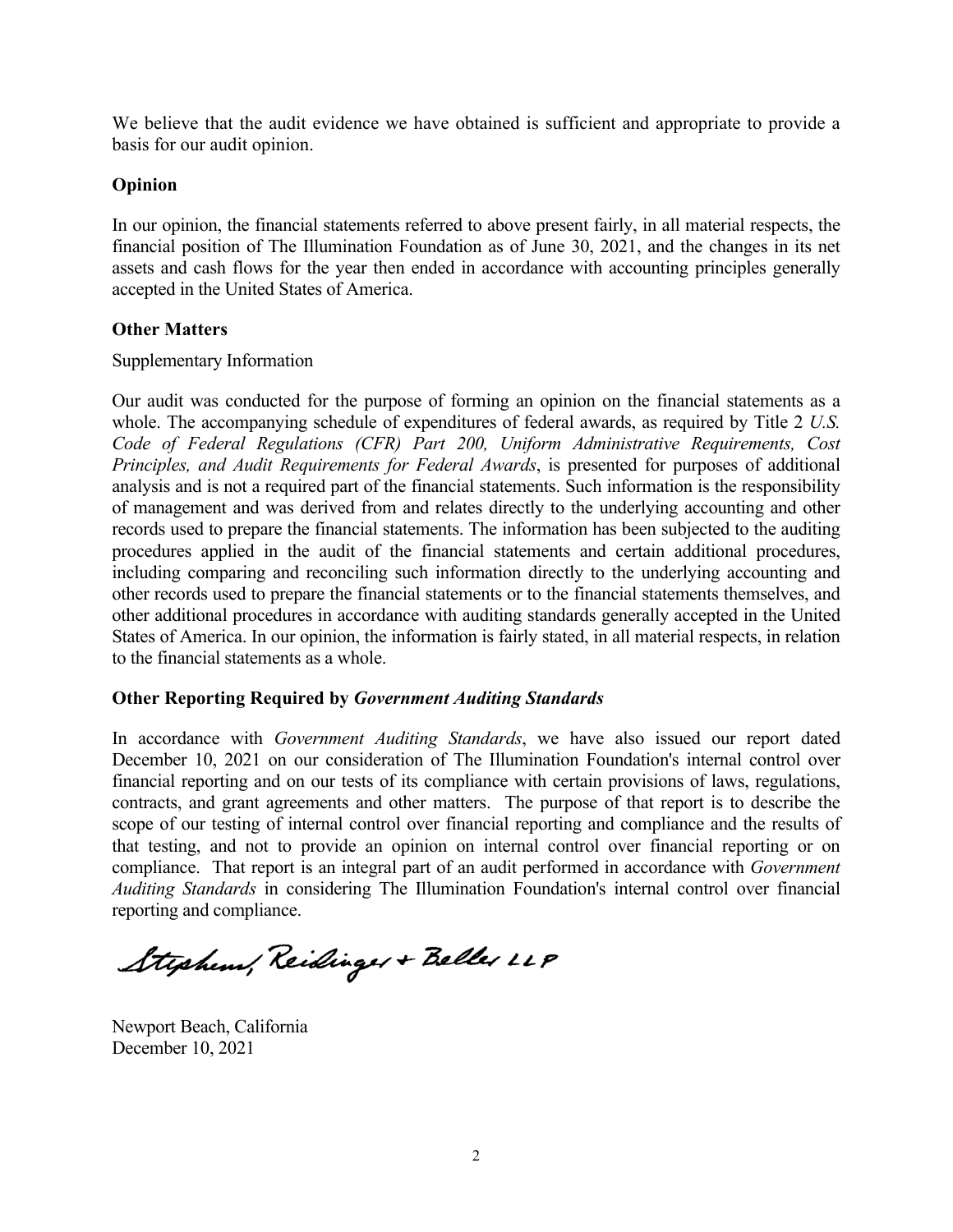We believe that the audit evidence we have obtained is sufficient and appropriate to provide a basis for our audit opinion.

## **Opinion**

In our opinion, the financial statements referred to above present fairly, in all material respects, the financial position of The Illumination Foundation as of June 30, 2021, and the changes in its net assets and cash flows for the year then ended in accordance with accounting principles generally accepted in the United States of America.

#### **Other Matters**

#### Supplementary Information

Our audit was conducted for the purpose of forming an opinion on the financial statements as a whole. The accompanying schedule of expenditures of federal awards, as required by Title 2 *U.S. Code of Federal Regulations (CFR) Part 200, Uniform Administrative Requirements, Cost Principles, and Audit Requirements for Federal Awards*, is presented for purposes of additional analysis and is not a required part of the financial statements. Such information is the responsibility of management and was derived from and relates directly to the underlying accounting and other records used to prepare the financial statements. The information has been subjected to the auditing procedures applied in the audit of the financial statements and certain additional procedures, including comparing and reconciling such information directly to the underlying accounting and other records used to prepare the financial statements or to the financial statements themselves, and other additional procedures in accordance with auditing standards generally accepted in the United States of America. In our opinion, the information is fairly stated, in all material respects, in relation to the financial statements as a whole.

## **Other Reporting Required by** *Government Auditing Standards*

In accordance with *Government Auditing Standards*, we have also issued our report dated December 10, 2021 on our consideration of The Illumination Foundation's internal control over financial reporting and on our tests of its compliance with certain provisions of laws, regulations, contracts, and grant agreements and other matters. The purpose of that report is to describe the scope of our testing of internal control over financial reporting and compliance and the results of that testing, and not to provide an opinion on internal control over financial reporting or on compliance. That report is an integral part of an audit performed in accordance with *Government Auditing Standards* in considering The Illumination Foundation's internal control over financial reporting and compliance.

Stephens, Reidinger + Beller LLP

Newport Beach, California December 10, 2021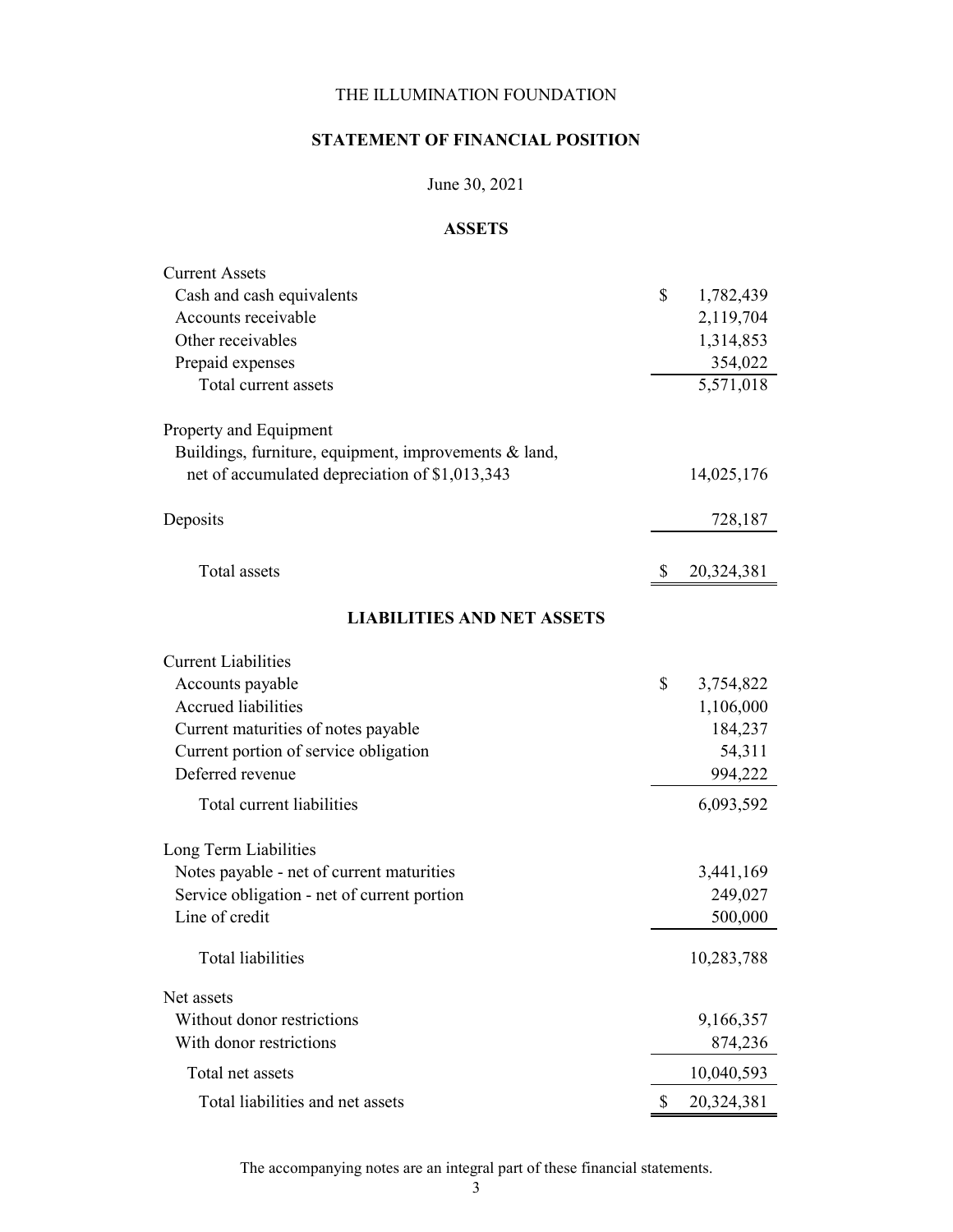## **STATEMENT OF FINANCIAL POSITION**

## June 30, 2021

#### **ASSETS**

| <b>Current Assets</b>                                 |                  |
|-------------------------------------------------------|------------------|
| Cash and cash equivalents                             | \$<br>1,782,439  |
| Accounts receivable                                   | 2,119,704        |
| Other receivables                                     | 1,314,853        |
| Prepaid expenses                                      | 354,022          |
| Total current assets                                  | 5,571,018        |
| Property and Equipment                                |                  |
| Buildings, furniture, equipment, improvements & land, |                  |
| net of accumulated depreciation of \$1,013,343        | 14,025,176       |
| Deposits                                              | 728,187          |
| Total assets                                          | \$<br>20,324,381 |
| <b>LIABILITIES AND NET ASSETS</b>                     |                  |
| <b>Current Liabilities</b>                            |                  |
| Accounts payable                                      | \$<br>3,754,822  |
| <b>Accrued liabilities</b>                            | 1,106,000        |
| Current maturities of notes payable                   | 184,237          |
| Current portion of service obligation                 | 54,311           |
| Deferred revenue                                      | 994,222          |
| Total current liabilities                             | 6,093,592        |
| Long Term Liabilities                                 |                  |
| Notes payable - net of current maturities             | 3,441,169        |
| Service obligation - net of current portion           | 249,027          |
| Line of credit                                        | 500,000          |
| Total liabilities                                     | 10,283,788       |
| Net assets                                            |                  |
| Without donor restrictions                            | 9,166,357        |
| With donor restrictions                               | 874,236          |
| Total net assets                                      | 10,040,593       |
| Total liabilities and net assets                      | \$<br>20,324,381 |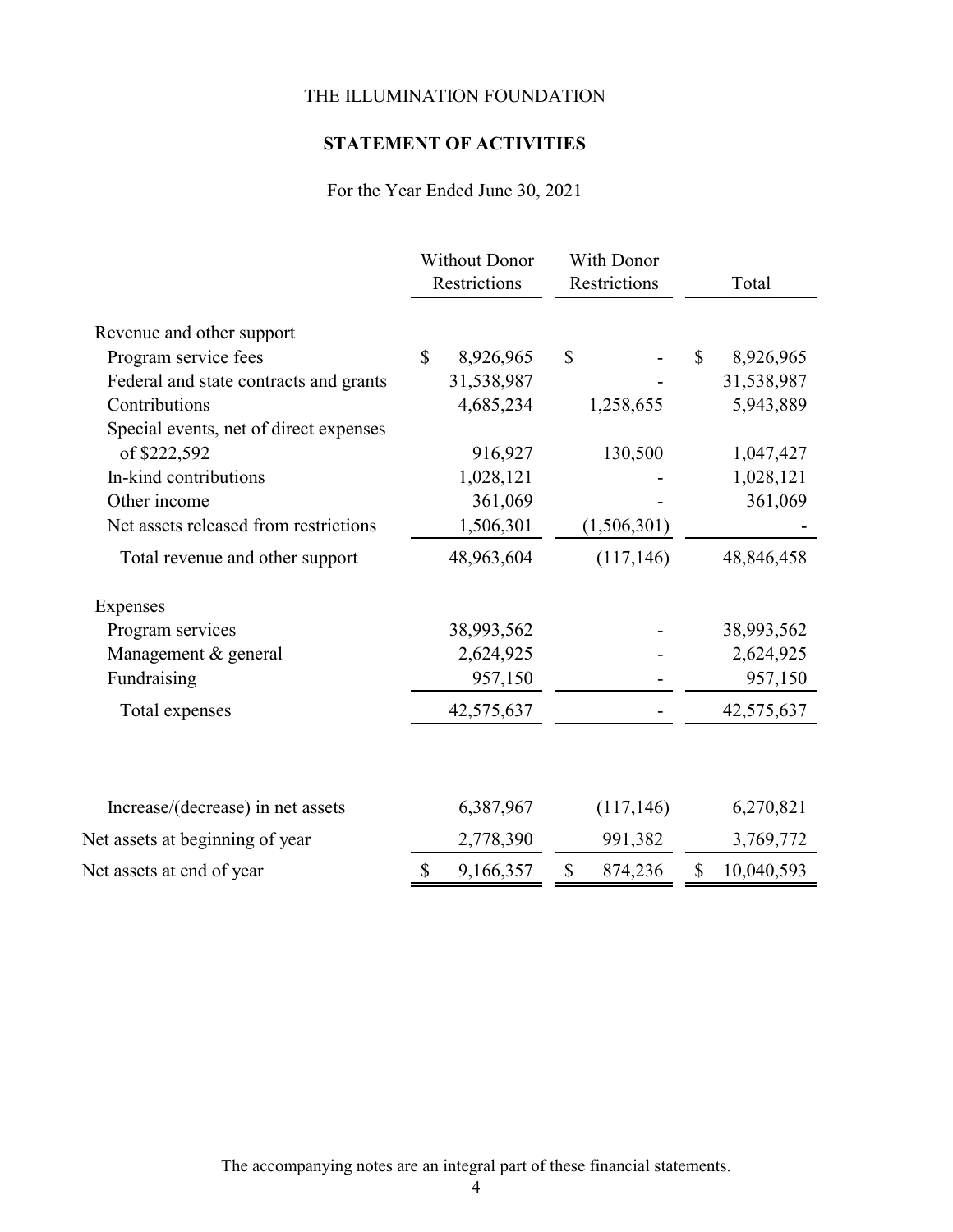## **STATEMENT OF ACTIVITIES**

## For the Year Ended June 30, 2021

|                                        | <b>Without Donor</b><br>Restrictions |            | With Donor<br>Restrictions |             |              |            | Total |
|----------------------------------------|--------------------------------------|------------|----------------------------|-------------|--------------|------------|-------|
|                                        |                                      |            |                            |             |              |            |       |
| Revenue and other support              |                                      |            |                            |             |              |            |       |
| Program service fees                   | $\mathbb{S}$                         | 8,926,965  | $\mathbb{S}$               |             | $\mathbb{S}$ | 8,926,965  |       |
| Federal and state contracts and grants |                                      | 31,538,987 |                            |             |              | 31,538,987 |       |
| Contributions                          |                                      | 4,685,234  |                            | 1,258,655   |              | 5,943,889  |       |
| Special events, net of direct expenses |                                      |            |                            |             |              |            |       |
| of \$222,592                           |                                      | 916,927    |                            | 130,500     |              | 1,047,427  |       |
| In-kind contributions                  |                                      | 1,028,121  |                            |             |              | 1,028,121  |       |
| Other income                           |                                      | 361,069    |                            |             |              | 361,069    |       |
| Net assets released from restrictions  |                                      | 1,506,301  |                            | (1,506,301) |              |            |       |
| Total revenue and other support        |                                      | 48,963,604 |                            | (117, 146)  |              | 48,846,458 |       |
| Expenses                               |                                      |            |                            |             |              |            |       |
| Program services                       |                                      | 38,993,562 |                            |             |              | 38,993,562 |       |
| Management & general                   |                                      | 2,624,925  |                            |             |              | 2,624,925  |       |
| Fundraising                            |                                      | 957,150    |                            |             |              | 957,150    |       |
| Total expenses                         |                                      | 42,575,637 |                            |             |              | 42,575,637 |       |
|                                        |                                      |            |                            |             |              |            |       |
| Increase/(decrease) in net assets      |                                      | 6,387,967  |                            | (117, 146)  |              | 6,270,821  |       |
| Net assets at beginning of year        |                                      | 2,778,390  |                            | 991,382     |              | 3,769,772  |       |
| Net assets at end of year              | \$                                   | 9,166,357  | \$                         | 874,236     | \$           | 10,040,593 |       |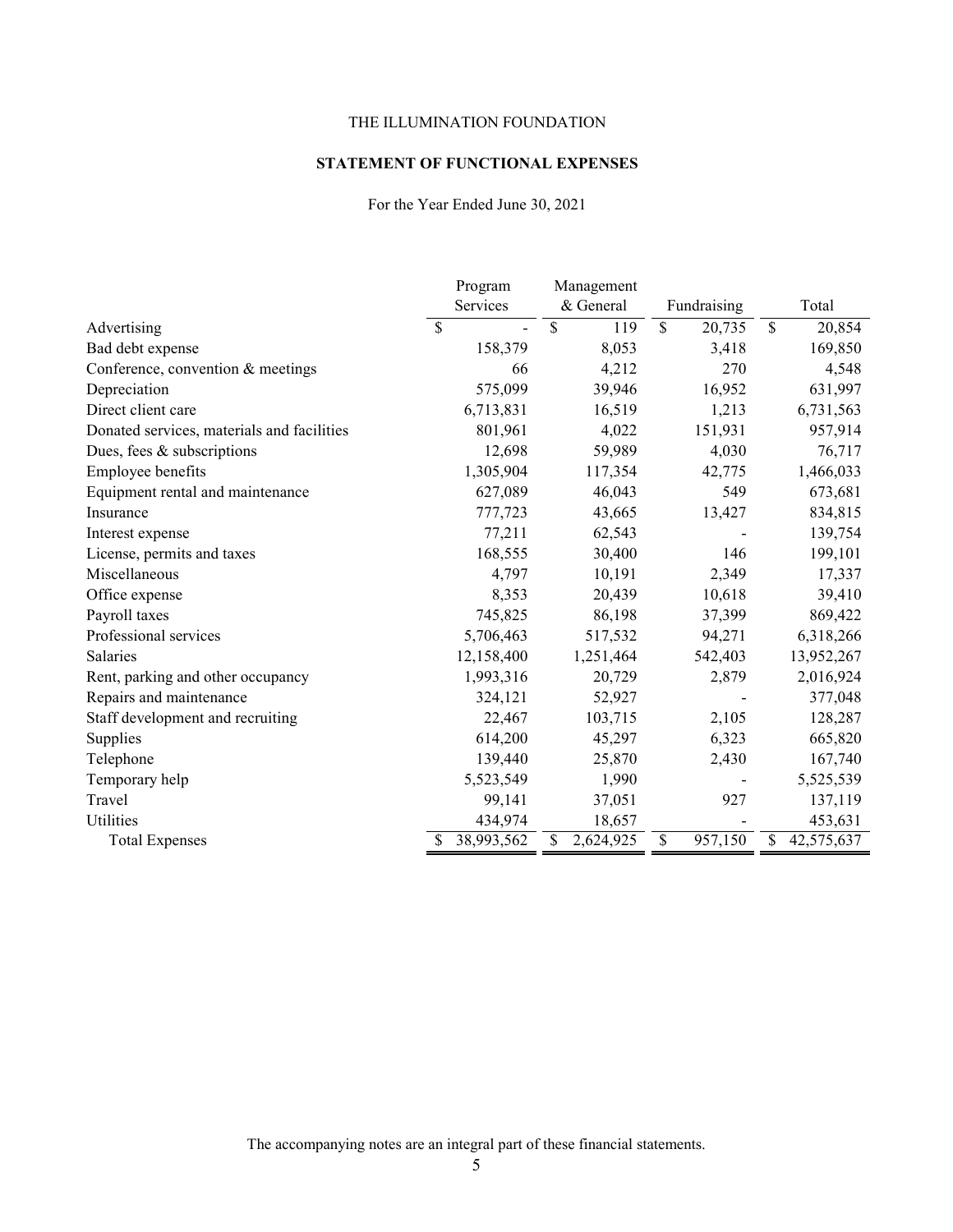#### **STATEMENT OF FUNCTIONAL EXPENSES**

#### For the Year Ended June 30, 2021

|                                            | Program    | Management     |               |                  |
|--------------------------------------------|------------|----------------|---------------|------------------|
|                                            | Services   | & General      | Fundraising   | Total            |
| Advertising                                | \$         | \$<br>119      | \$<br>20,735  | \$<br>20,854     |
| Bad debt expense                           | 158,379    | 8,053          | 3,418         | 169,850          |
| Conference, convention & meetings          | 66         | 4,212          | 270           | 4,548            |
| Depreciation                               | 575,099    | 39,946         | 16,952        | 631,997          |
| Direct client care                         | 6,713,831  | 16,519         | 1,213         | 6,731,563        |
| Donated services, materials and facilities | 801,961    | 4,022          | 151,931       | 957,914          |
| Dues, fees & subscriptions                 | 12,698     | 59,989         | 4,030         | 76,717           |
| Employee benefits                          | 1,305,904  | 117,354        | 42,775        | 1,466,033        |
| Equipment rental and maintenance           | 627,089    | 46,043         | 549           | 673,681          |
| Insurance                                  | 777,723    | 43,665         | 13,427        | 834,815          |
| Interest expense                           | 77,211     | 62,543         |               | 139,754          |
| License, permits and taxes                 | 168,555    | 30,400         | 146           | 199,101          |
| Miscellaneous                              | 4,797      | 10,191         | 2,349         | 17,337           |
| Office expense                             | 8,353      | 20,439         | 10,618        | 39,410           |
| Payroll taxes                              | 745,825    | 86,198         | 37,399        | 869,422          |
| Professional services                      | 5,706,463  | 517,532        | 94,271        | 6,318,266        |
| Salaries                                   | 12,158,400 | 1,251,464      | 542,403       | 13,952,267       |
| Rent, parking and other occupancy          | 1,993,316  | 20,729         | 2,879         | 2,016,924        |
| Repairs and maintenance                    | 324,121    | 52,927         |               | 377,048          |
| Staff development and recruiting           | 22,467     | 103,715        | 2,105         | 128,287          |
| Supplies                                   | 614,200    | 45,297         | 6,323         | 665,820          |
| Telephone                                  | 139,440    | 25,870         | 2,430         | 167,740          |
| Temporary help                             | 5,523,549  | 1,990          |               | 5,525,539        |
| Travel                                     | 99,141     | 37,051         | 927           | 137,119          |
| Utilities                                  | 434,974    | 18,657         |               | 453,631          |
| <b>Total Expenses</b>                      | 38,993,562 | 2,624,925<br>S | \$<br>957,150 | 42,575,637<br>\$ |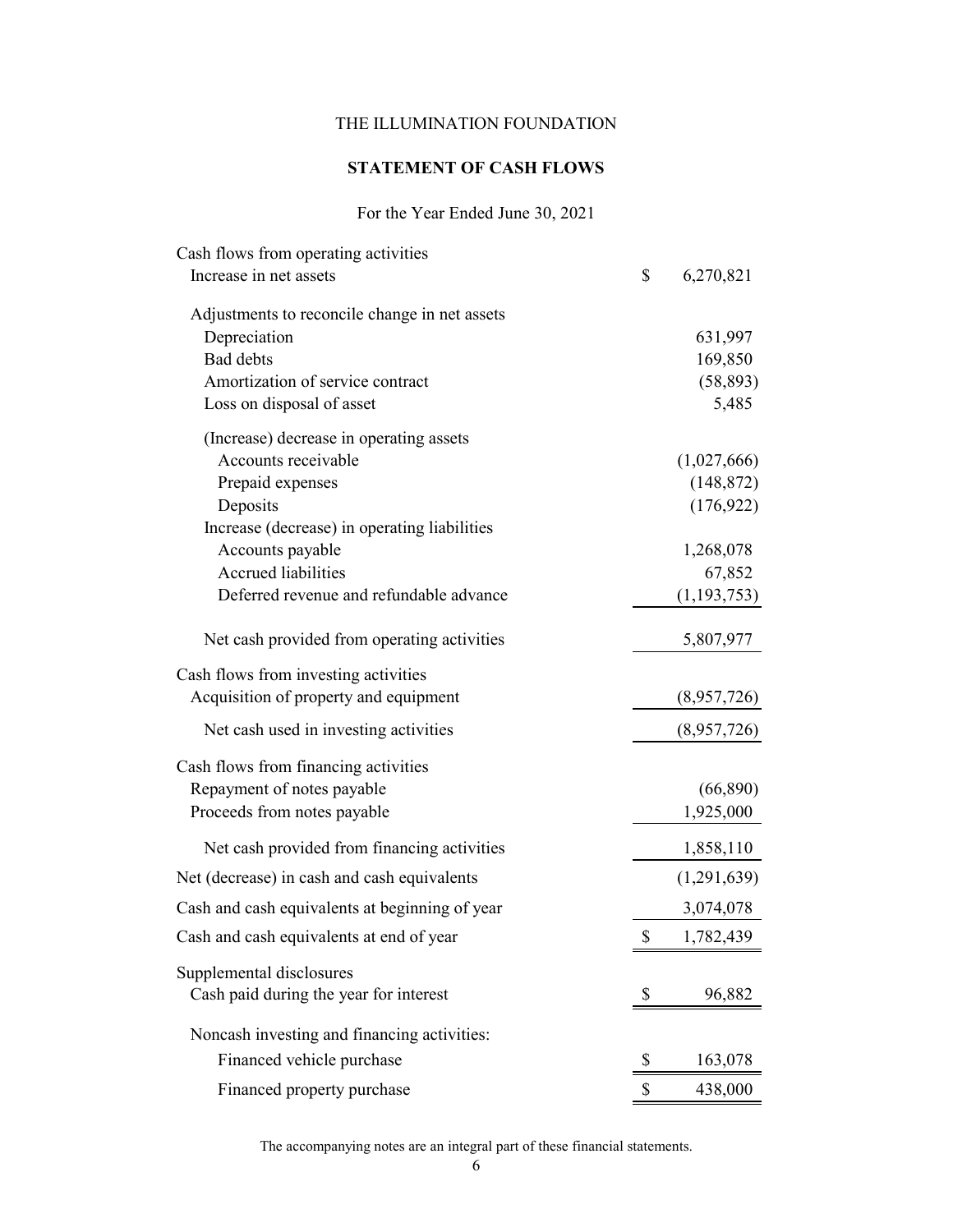## **STATEMENT OF CASH FLOWS**

For the Year Ended June 30, 2021

| Cash flows from operating activities           |    |               |
|------------------------------------------------|----|---------------|
| Increase in net assets                         | \$ | 6,270,821     |
| Adjustments to reconcile change in net assets  |    |               |
| Depreciation                                   |    | 631,997       |
| <b>Bad</b> debts                               |    | 169,850       |
| Amortization of service contract               |    | (58, 893)     |
| Loss on disposal of asset                      |    | 5,485         |
| (Increase) decrease in operating assets        |    |               |
| Accounts receivable                            |    | (1,027,666)   |
| Prepaid expenses                               |    | (148, 872)    |
| Deposits                                       |    | (176, 922)    |
| Increase (decrease) in operating liabilities   |    |               |
| Accounts payable                               |    | 1,268,078     |
| <b>Accrued liabilities</b>                     |    | 67,852        |
| Deferred revenue and refundable advance        |    | (1, 193, 753) |
| Net cash provided from operating activities    |    | 5,807,977     |
| Cash flows from investing activities           |    |               |
| Acquisition of property and equipment          |    | (8,957,726)   |
| Net cash used in investing activities          |    | (8,957,726)   |
| Cash flows from financing activities           |    |               |
| Repayment of notes payable                     |    | (66,890)      |
| Proceeds from notes payable                    |    | 1,925,000     |
| Net cash provided from financing activities    |    | 1,858,110     |
| Net (decrease) in cash and cash equivalents    |    | (1,291,639)   |
| Cash and cash equivalents at beginning of year |    | 3,074,078     |
| Cash and cash equivalents at end of year       | Φ  | 1,782,439     |
| Supplemental disclosures                       |    |               |
| Cash paid during the year for interest         | \$ | 96,882        |
| Noncash investing and financing activities:    |    |               |
| Financed vehicle purchase                      | \$ | 163,078       |
| Financed property purchase                     | \$ | 438,000       |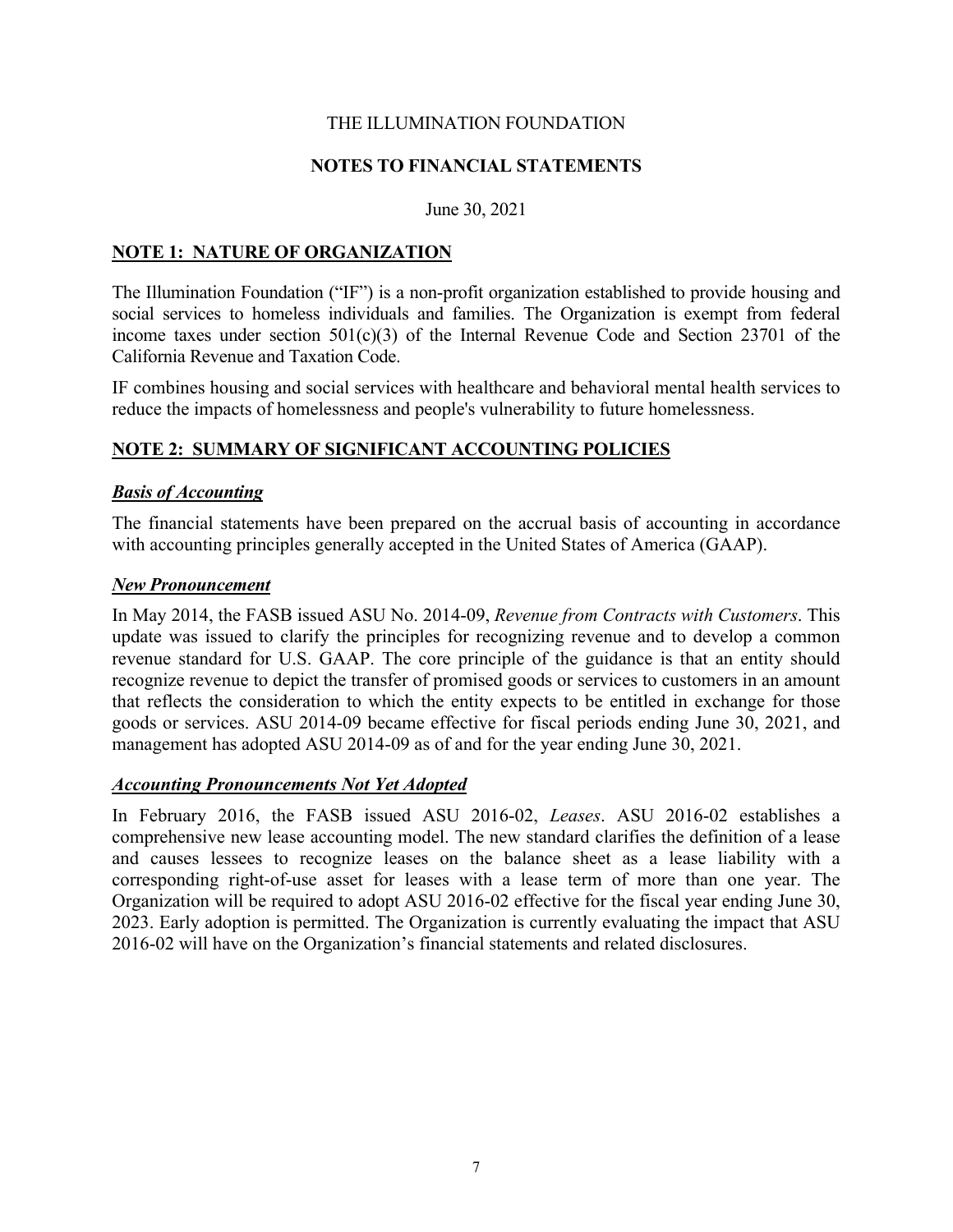## **NOTES TO FINANCIAL STATEMENTS**

June 30, 2021

#### **NOTE 1: NATURE OF ORGANIZATION**

The Illumination Foundation ("IF") is a non-profit organization established to provide housing and social services to homeless individuals and families. The Organization is exempt from federal income taxes under section 501(c)(3) of the Internal Revenue Code and Section 23701 of the California Revenue and Taxation Code.

IF combines housing and social services with healthcare and behavioral mental health services to reduce the impacts of homelessness and people's vulnerability to future homelessness.

## **NOTE 2: SUMMARY OF SIGNIFICANT ACCOUNTING POLICIES**

#### *Basis of Accounting*

The financial statements have been prepared on the accrual basis of accounting in accordance with accounting principles generally accepted in the United States of America (GAAP).

#### *New Pronouncement*

In May 2014, the FASB issued ASU No. 2014-09, *Revenue from Contracts with Customers*. This update was issued to clarify the principles for recognizing revenue and to develop a common revenue standard for U.S. GAAP. The core principle of the guidance is that an entity should recognize revenue to depict the transfer of promised goods or services to customers in an amount that reflects the consideration to which the entity expects to be entitled in exchange for those goods or services. ASU 2014-09 became effective for fiscal periods ending June 30, 2021, and management has adopted ASU 2014-09 as of and for the year ending June 30, 2021.

#### *Accounting Pronouncements Not Yet Adopted*

In February 2016, the FASB issued ASU 2016-02, *Leases*. ASU 2016-02 establishes a comprehensive new lease accounting model. The new standard clarifies the definition of a lease and causes lessees to recognize leases on the balance sheet as a lease liability with a corresponding right-of-use asset for leases with a lease term of more than one year. The Organization will be required to adopt ASU 2016-02 effective for the fiscal year ending June 30, 2023. Early adoption is permitted. The Organization is currently evaluating the impact that ASU 2016-02 will have on the Organization's financial statements and related disclosures.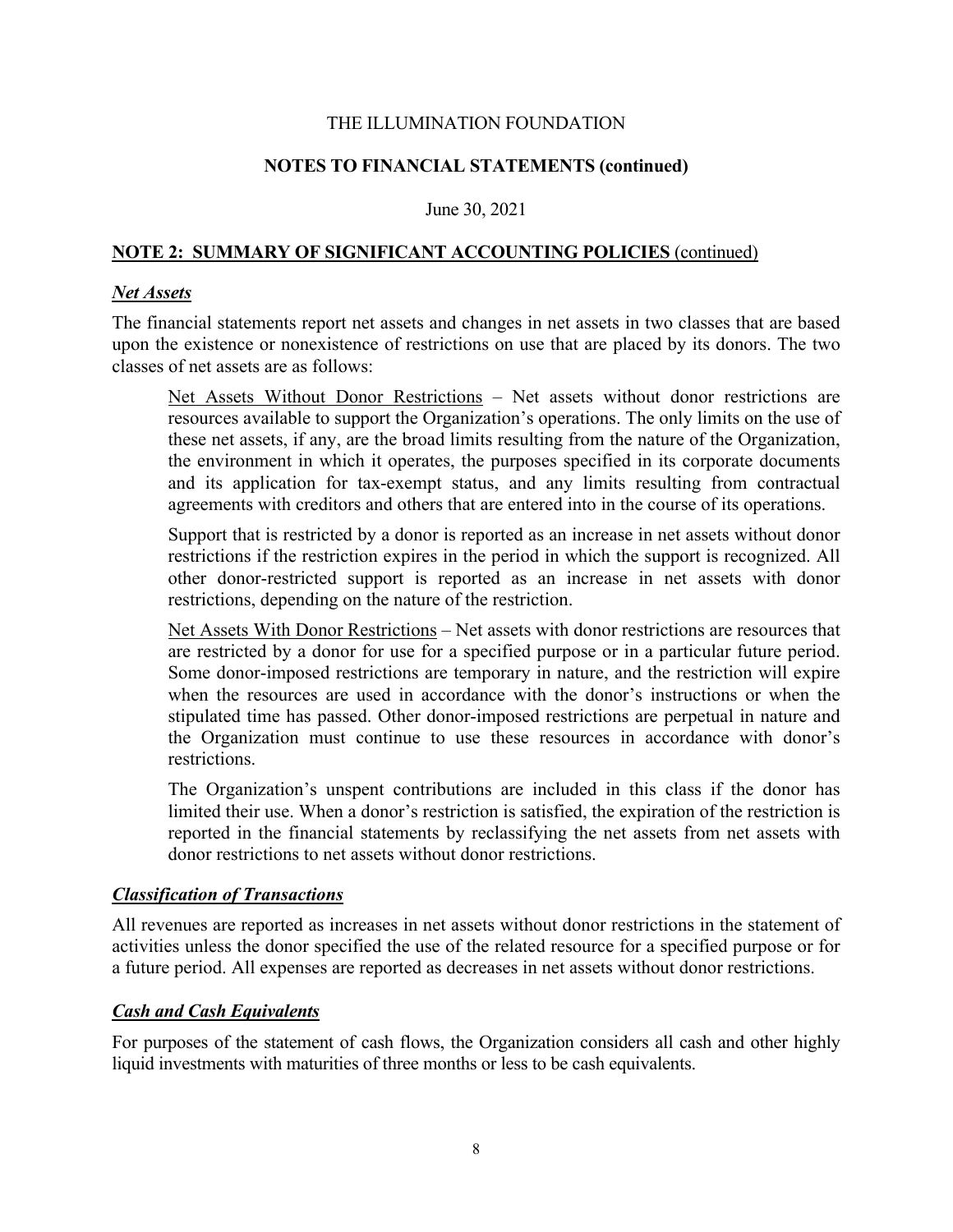#### **NOTES TO FINANCIAL STATEMENTS (continued)**

#### June 30, 2021

#### **NOTE 2: SUMMARY OF SIGNIFICANT ACCOUNTING POLICIES** (continued)

#### *Net Assets*

The financial statements report net assets and changes in net assets in two classes that are based upon the existence or nonexistence of restrictions on use that are placed by its donors. The two classes of net assets are as follows:

Net Assets Without Donor Restrictions – Net assets without donor restrictions are resources available to support the Organization's operations. The only limits on the use of these net assets, if any, are the broad limits resulting from the nature of the Organization, the environment in which it operates, the purposes specified in its corporate documents and its application for tax-exempt status, and any limits resulting from contractual agreements with creditors and others that are entered into in the course of its operations.

Support that is restricted by a donor is reported as an increase in net assets without donor restrictions if the restriction expires in the period in which the support is recognized. All other donor-restricted support is reported as an increase in net assets with donor restrictions, depending on the nature of the restriction.

Net Assets With Donor Restrictions – Net assets with donor restrictions are resources that are restricted by a donor for use for a specified purpose or in a particular future period. Some donor-imposed restrictions are temporary in nature, and the restriction will expire when the resources are used in accordance with the donor's instructions or when the stipulated time has passed. Other donor-imposed restrictions are perpetual in nature and the Organization must continue to use these resources in accordance with donor's restrictions.

The Organization's unspent contributions are included in this class if the donor has limited their use. When a donor's restriction is satisfied, the expiration of the restriction is reported in the financial statements by reclassifying the net assets from net assets with donor restrictions to net assets without donor restrictions.

#### *Classification of Transactions*

All revenues are reported as increases in net assets without donor restrictions in the statement of activities unless the donor specified the use of the related resource for a specified purpose or for a future period. All expenses are reported as decreases in net assets without donor restrictions.

#### *Cash and Cash Equivalents*

For purposes of the statement of cash flows, the Organization considers all cash and other highly liquid investments with maturities of three months or less to be cash equivalents.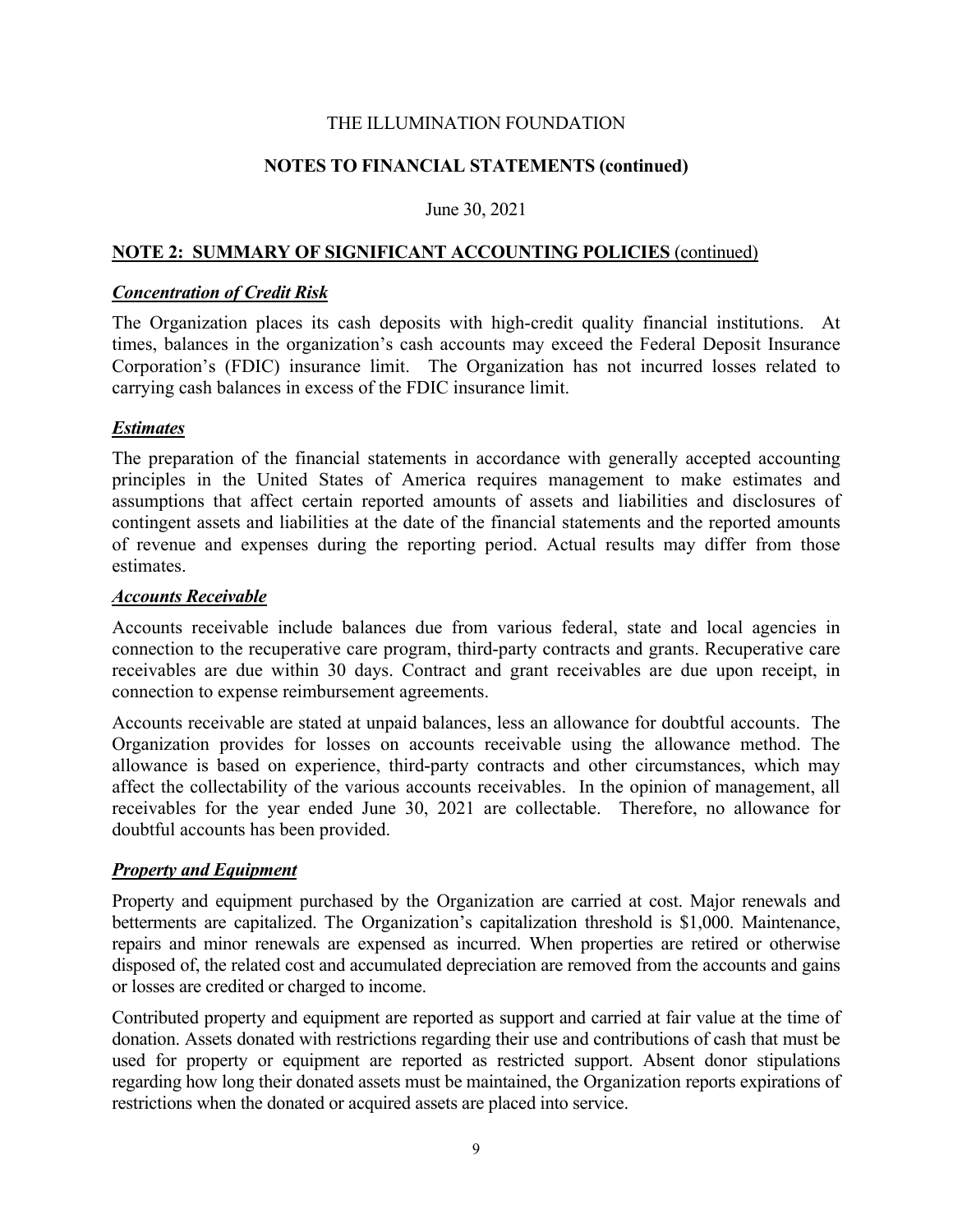## **NOTES TO FINANCIAL STATEMENTS (continued)**

#### June 30, 2021

#### **NOTE 2: SUMMARY OF SIGNIFICANT ACCOUNTING POLICIES** (continued)

#### *Concentration of Credit Risk*

The Organization places its cash deposits with high-credit quality financial institutions. At times, balances in the organization's cash accounts may exceed the Federal Deposit Insurance Corporation's (FDIC) insurance limit. The Organization has not incurred losses related to carrying cash balances in excess of the FDIC insurance limit.

#### *Estimates*

The preparation of the financial statements in accordance with generally accepted accounting principles in the United States of America requires management to make estimates and assumptions that affect certain reported amounts of assets and liabilities and disclosures of contingent assets and liabilities at the date of the financial statements and the reported amounts of revenue and expenses during the reporting period. Actual results may differ from those estimates.

#### *Accounts Receivable*

Accounts receivable include balances due from various federal, state and local agencies in connection to the recuperative care program, third-party contracts and grants. Recuperative care receivables are due within 30 days. Contract and grant receivables are due upon receipt, in connection to expense reimbursement agreements.

Accounts receivable are stated at unpaid balances, less an allowance for doubtful accounts. The Organization provides for losses on accounts receivable using the allowance method. The allowance is based on experience, third-party contracts and other circumstances, which may affect the collectability of the various accounts receivables. In the opinion of management, all receivables for the year ended June 30, 2021 are collectable. Therefore, no allowance for doubtful accounts has been provided.

#### *Property and Equipment*

Property and equipment purchased by the Organization are carried at cost. Major renewals and betterments are capitalized. The Organization's capitalization threshold is \$1,000. Maintenance, repairs and minor renewals are expensed as incurred. When properties are retired or otherwise disposed of, the related cost and accumulated depreciation are removed from the accounts and gains or losses are credited or charged to income.

Contributed property and equipment are reported as support and carried at fair value at the time of donation. Assets donated with restrictions regarding their use and contributions of cash that must be used for property or equipment are reported as restricted support. Absent donor stipulations regarding how long their donated assets must be maintained, the Organization reports expirations of restrictions when the donated or acquired assets are placed into service.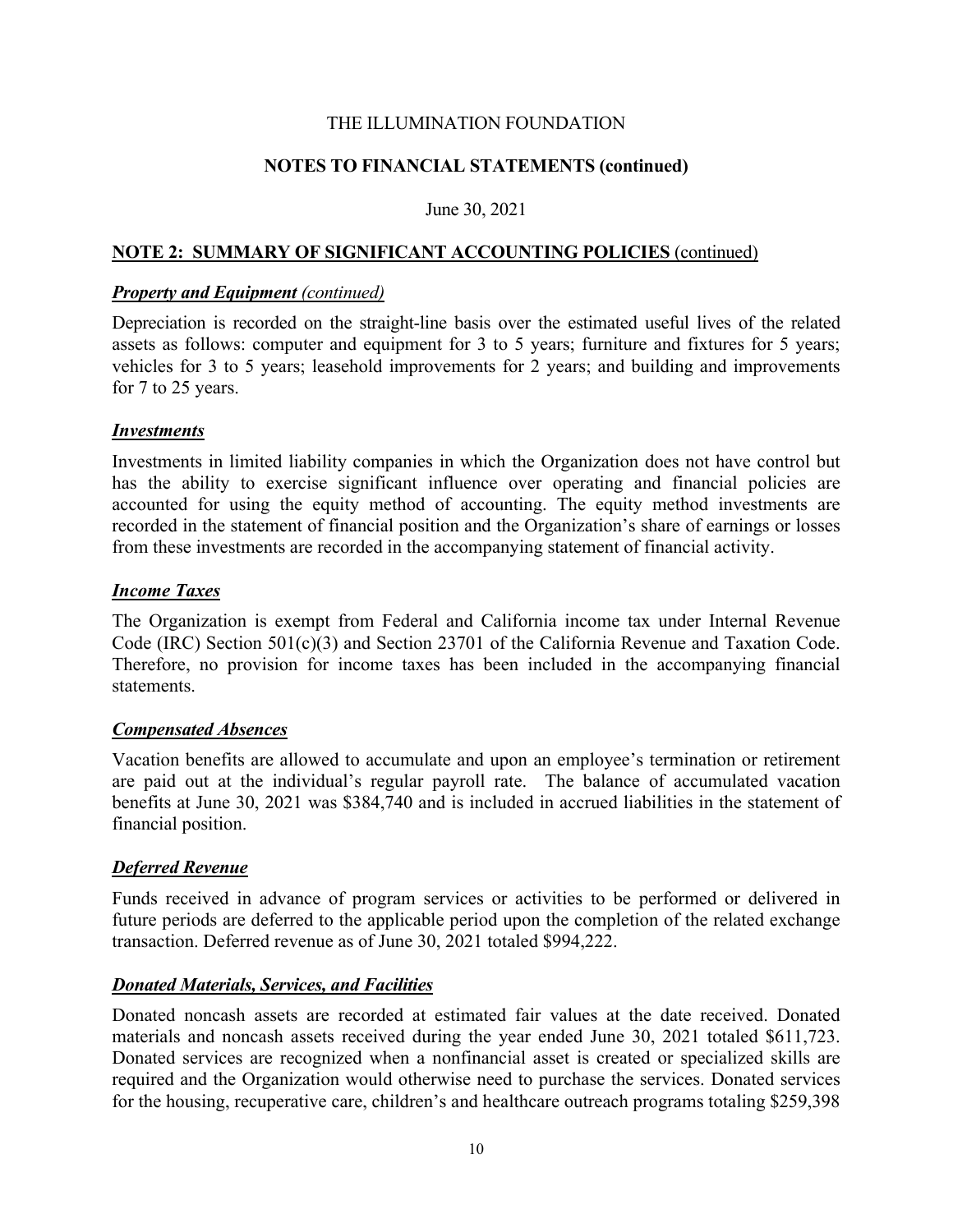## **NOTES TO FINANCIAL STATEMENTS (continued)**

#### June 30, 2021

#### **NOTE 2: SUMMARY OF SIGNIFICANT ACCOUNTING POLICIES** (continued)

#### *Property and Equipment (continued)*

Depreciation is recorded on the straight-line basis over the estimated useful lives of the related assets as follows: computer and equipment for 3 to 5 years; furniture and fixtures for 5 years; vehicles for 3 to 5 years; leasehold improvements for 2 years; and building and improvements for 7 to 25 years.

#### *Investments*

Investments in limited liability companies in which the Organization does not have control but has the ability to exercise significant influence over operating and financial policies are accounted for using the equity method of accounting. The equity method investments are recorded in the statement of financial position and the Organization's share of earnings or losses from these investments are recorded in the accompanying statement of financial activity.

#### *Income Taxes*

The Organization is exempt from Federal and California income tax under Internal Revenue Code (IRC) Section 501(c)(3) and Section 23701 of the California Revenue and Taxation Code. Therefore, no provision for income taxes has been included in the accompanying financial statements.

#### *Compensated Absences*

Vacation benefits are allowed to accumulate and upon an employee's termination or retirement are paid out at the individual's regular payroll rate. The balance of accumulated vacation benefits at June 30, 2021 was \$384,740 and is included in accrued liabilities in the statement of financial position.

#### *Deferred Revenue*

Funds received in advance of program services or activities to be performed or delivered in future periods are deferred to the applicable period upon the completion of the related exchange transaction. Deferred revenue as of June 30, 2021 totaled \$994,222.

#### *Donated Materials, Services, and Facilities*

Donated noncash assets are recorded at estimated fair values at the date received. Donated materials and noncash assets received during the year ended June 30, 2021 totaled \$611,723. Donated services are recognized when a nonfinancial asset is created or specialized skills are required and the Organization would otherwise need to purchase the services. Donated services for the housing, recuperative care, children's and healthcare outreach programs totaling \$259,398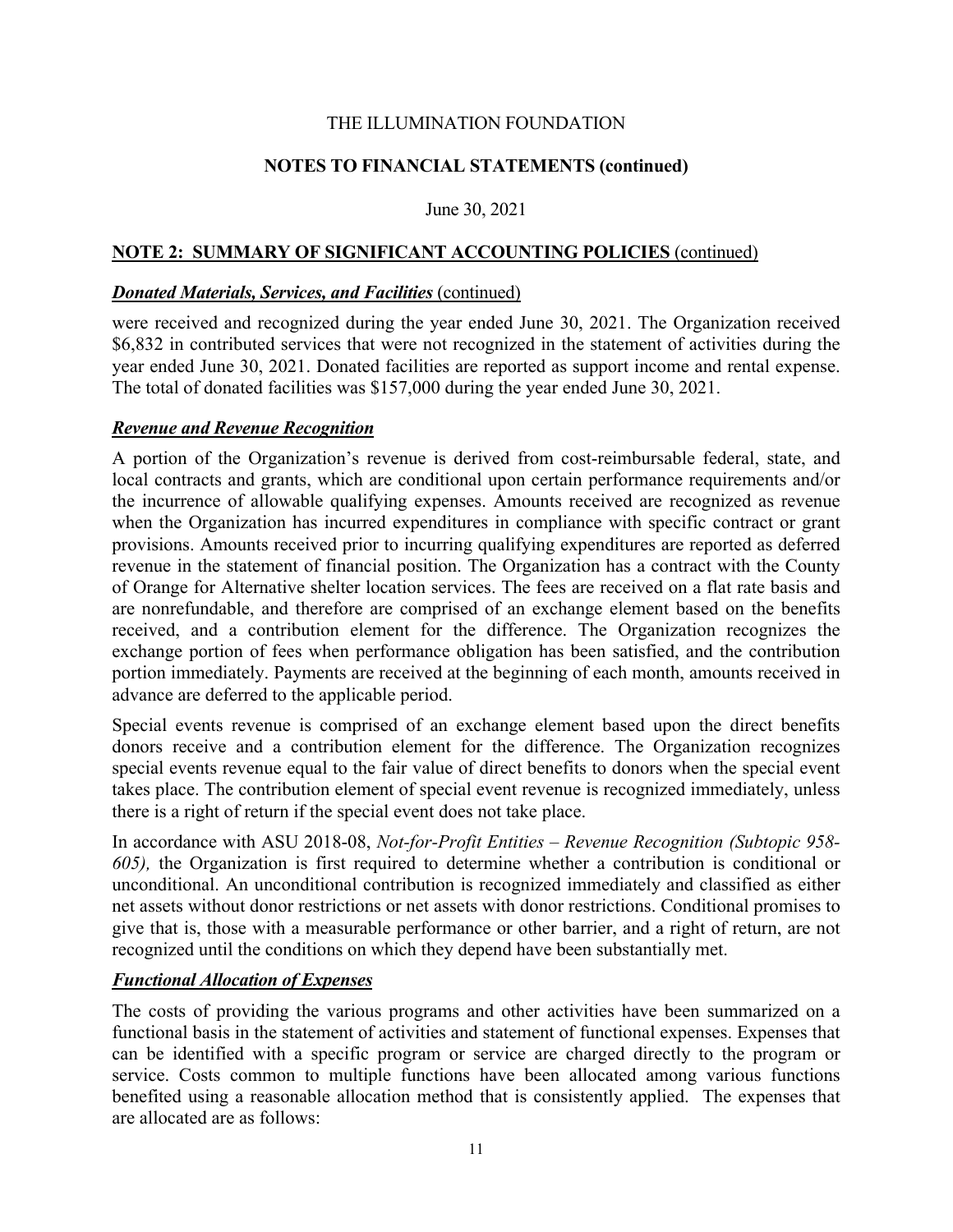## **NOTES TO FINANCIAL STATEMENTS (continued)**

June 30, 2021

#### **NOTE 2: SUMMARY OF SIGNIFICANT ACCOUNTING POLICIES** (continued)

#### *Donated Materials, Services, and Facilities* (continued)

were received and recognized during the year ended June 30, 2021. The Organization received \$6,832 in contributed services that were not recognized in the statement of activities during the year ended June 30, 2021. Donated facilities are reported as support income and rental expense. The total of donated facilities was \$157,000 during the year ended June 30, 2021.

#### *Revenue and Revenue Recognition*

A portion of the Organization's revenue is derived from cost-reimbursable federal, state, and local contracts and grants, which are conditional upon certain performance requirements and/or the incurrence of allowable qualifying expenses. Amounts received are recognized as revenue when the Organization has incurred expenditures in compliance with specific contract or grant provisions. Amounts received prior to incurring qualifying expenditures are reported as deferred revenue in the statement of financial position. The Organization has a contract with the County of Orange for Alternative shelter location services. The fees are received on a flat rate basis and are nonrefundable, and therefore are comprised of an exchange element based on the benefits received, and a contribution element for the difference. The Organization recognizes the exchange portion of fees when performance obligation has been satisfied, and the contribution portion immediately. Payments are received at the beginning of each month, amounts received in advance are deferred to the applicable period.

Special events revenue is comprised of an exchange element based upon the direct benefits donors receive and a contribution element for the difference. The Organization recognizes special events revenue equal to the fair value of direct benefits to donors when the special event takes place. The contribution element of special event revenue is recognized immediately, unless there is a right of return if the special event does not take place.

In accordance with ASU 2018-08, *Not-for-Profit Entities – Revenue Recognition (Subtopic 958- 605),* the Organization is first required to determine whether a contribution is conditional or unconditional. An unconditional contribution is recognized immediately and classified as either net assets without donor restrictions or net assets with donor restrictions. Conditional promises to give that is, those with a measurable performance or other barrier, and a right of return, are not recognized until the conditions on which they depend have been substantially met.

#### *Functional Allocation of Expenses*

The costs of providing the various programs and other activities have been summarized on a functional basis in the statement of activities and statement of functional expenses. Expenses that can be identified with a specific program or service are charged directly to the program or service. Costs common to multiple functions have been allocated among various functions benefited using a reasonable allocation method that is consistently applied. The expenses that are allocated are as follows: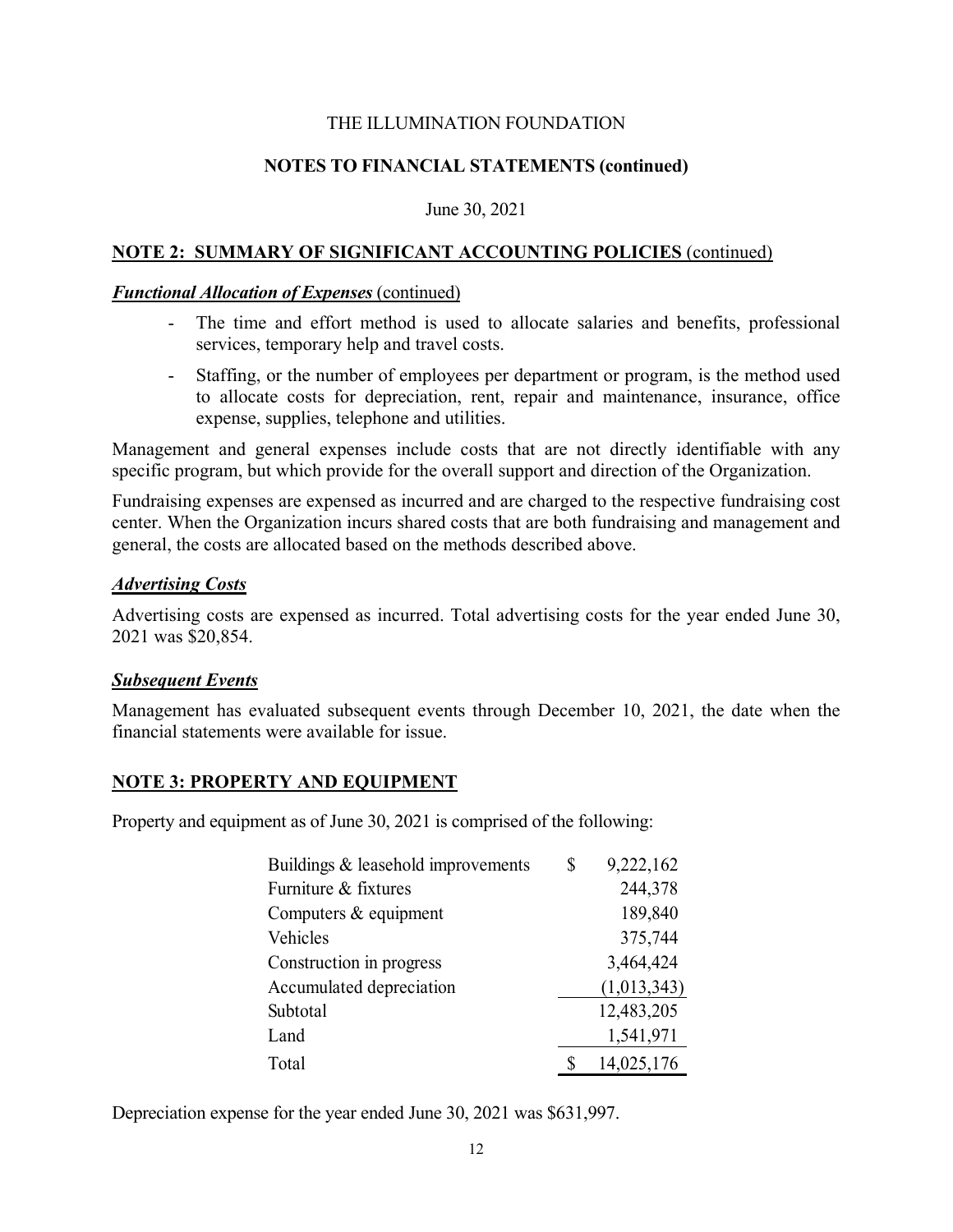## **NOTES TO FINANCIAL STATEMENTS (continued)**

June 30, 2021

#### **NOTE 2: SUMMARY OF SIGNIFICANT ACCOUNTING POLICIES** (continued)

#### *Functional Allocation of Expenses* (continued)

- The time and effort method is used to allocate salaries and benefits, professional services, temporary help and travel costs.
- Staffing, or the number of employees per department or program, is the method used to allocate costs for depreciation, rent, repair and maintenance, insurance, office expense, supplies, telephone and utilities.

Management and general expenses include costs that are not directly identifiable with any specific program, but which provide for the overall support and direction of the Organization.

Fundraising expenses are expensed as incurred and are charged to the respective fundraising cost center. When the Organization incurs shared costs that are both fundraising and management and general, the costs are allocated based on the methods described above.

#### *Advertising Costs*

Advertising costs are expensed as incurred. Total advertising costs for the year ended June 30, 2021 was \$20,854.

#### *Subsequent Events*

Management has evaluated subsequent events through December 10, 2021, the date when the financial statements were available for issue.

#### **NOTE 3: PROPERTY AND EQUIPMENT**

Property and equipment as of June 30, 2021 is comprised of the following:

| Buildings & leasehold improvements | S | 9,222,162   |
|------------------------------------|---|-------------|
| Furniture & fixtures               |   | 244,378     |
| Computers & equipment              |   | 189,840     |
| Vehicles                           |   | 375,744     |
| Construction in progress           |   | 3,464,424   |
| Accumulated depreciation           |   | (1,013,343) |
| Subtotal                           |   | 12,483,205  |
| Land                               |   | 1,541,971   |
| Total                              |   | 14,025,176  |

Depreciation expense for the year ended June 30, 2021 was \$631,997.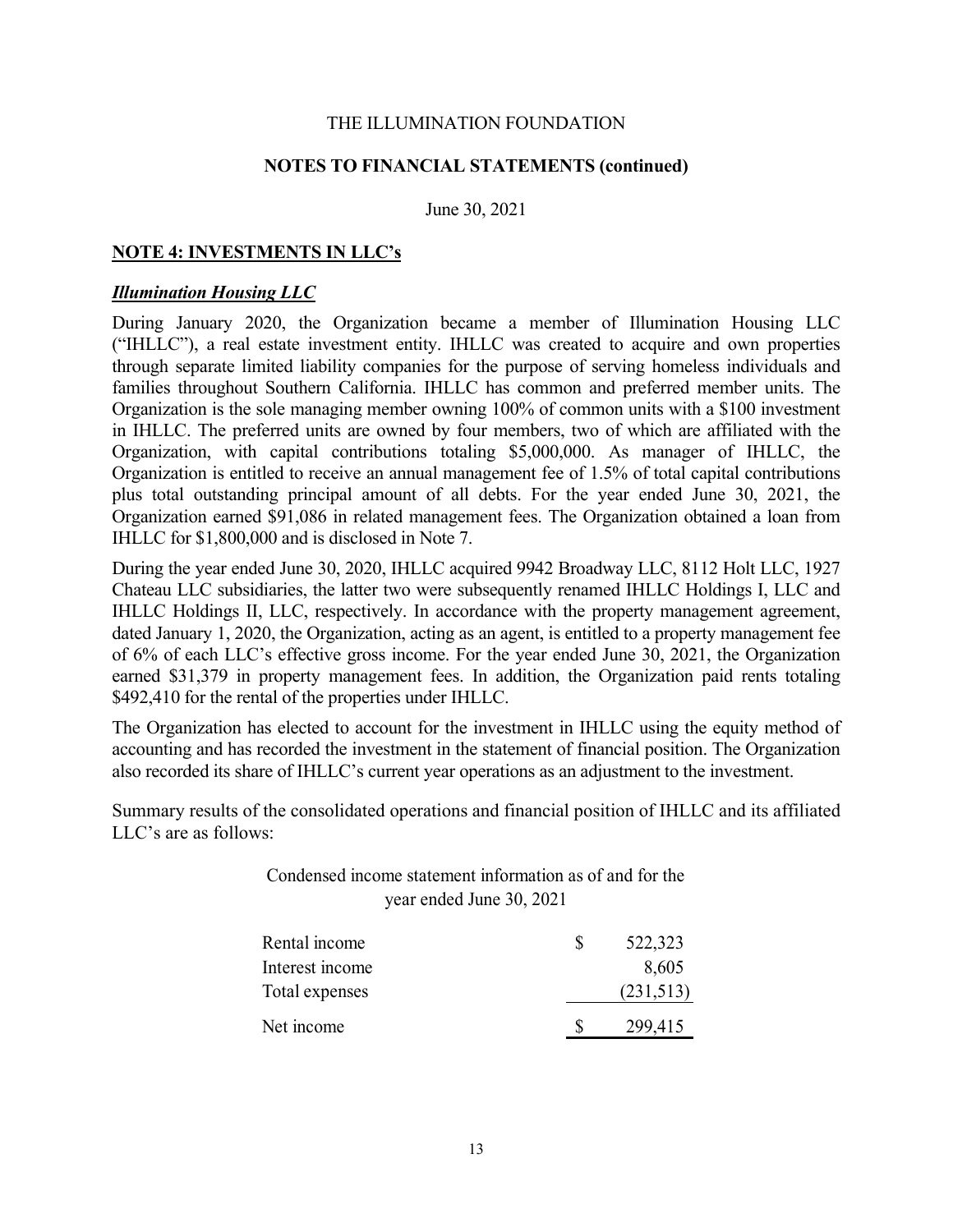#### **NOTES TO FINANCIAL STATEMENTS (continued)**

June 30, 2021

#### **NOTE 4: INVESTMENTS IN LLC's**

#### *Illumination Housing LLC*

During January 2020, the Organization became a member of Illumination Housing LLC ("IHLLC"), a real estate investment entity. IHLLC was created to acquire and own properties through separate limited liability companies for the purpose of serving homeless individuals and families throughout Southern California. IHLLC has common and preferred member units. The Organization is the sole managing member owning 100% of common units with a \$100 investment in IHLLC. The preferred units are owned by four members, two of which are affiliated with the Organization, with capital contributions totaling \$5,000,000. As manager of IHLLC, the Organization is entitled to receive an annual management fee of 1.5% of total capital contributions plus total outstanding principal amount of all debts. For the year ended June 30, 2021, the Organization earned \$91,086 in related management fees. The Organization obtained a loan from IHLLC for \$1,800,000 and is disclosed in Note 7.

During the year ended June 30, 2020, IHLLC acquired 9942 Broadway LLC, 8112 Holt LLC, 1927 Chateau LLC subsidiaries, the latter two were subsequently renamed IHLLC Holdings I, LLC and IHLLC Holdings II, LLC, respectively. In accordance with the property management agreement, dated January 1, 2020, the Organization, acting as an agent, is entitled to a property management fee of 6% of each LLC's effective gross income. For the year ended June 30, 2021, the Organization earned \$31,379 in property management fees. In addition, the Organization paid rents totaling \$492,410 for the rental of the properties under IHLLC.

The Organization has elected to account for the investment in IHLLC using the equity method of accounting and has recorded the investment in the statement of financial position. The Organization also recorded its share of IHLLC's current year operations as an adjustment to the investment.

Summary results of the consolidated operations and financial position of IHLLC and its affiliated LLC's are as follows:

| Condensed income statement information as of and for the |  |
|----------------------------------------------------------|--|
| year ended June 30, 2021                                 |  |

| Rental income   | 522,323   |
|-----------------|-----------|
| Interest income | 8,605     |
| Total expenses  | (231,513) |
| Net income      | 299,415   |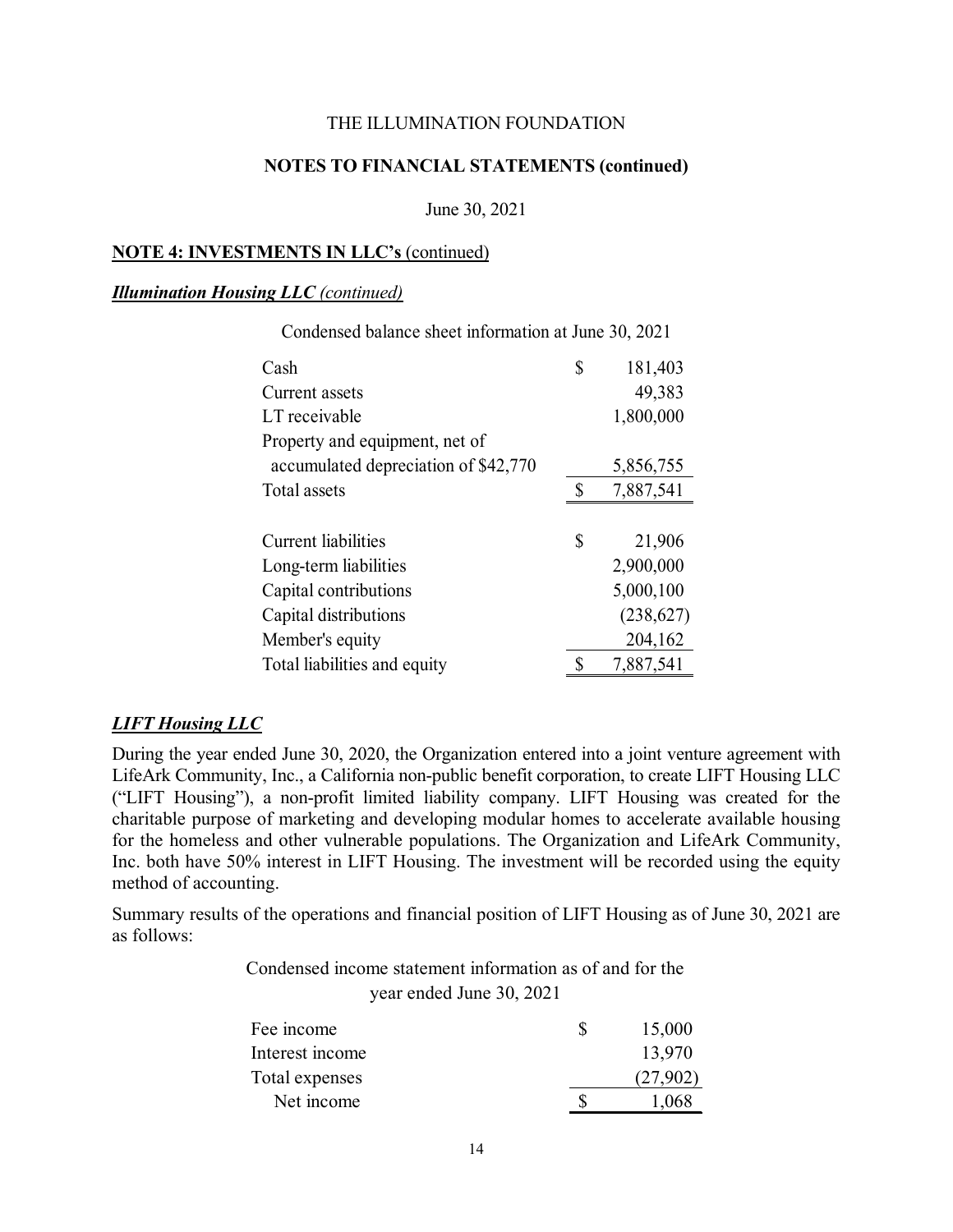#### **NOTES TO FINANCIAL STATEMENTS (continued)**

June 30, 2021

#### **NOTE 4: INVESTMENTS IN LLC's** (continued)

#### *Illumination Housing LLC (continued)*

| Cash                                 | \$<br>181,403 |
|--------------------------------------|---------------|
| Current assets                       | 49,383        |
| LT receivable                        | 1,800,000     |
| Property and equipment, net of       |               |
| accumulated depreciation of \$42,770 | 5,856,755     |
| Total assets                         | 7,887,541     |
|                                      |               |
| Current liabilities                  | \$<br>21,906  |
| Long-term liabilities                | 2,900,000     |
| Capital contributions                | 5,000,100     |
| Capital distributions                | (238, 627)    |
| Member's equity                      | 204,162       |
| Total liabilities and equity         | 7,887,541     |

Condensed balance sheet information at June 30, 2021

#### *LIFT Housing LLC*

During the year ended June 30, 2020, the Organization entered into a joint venture agreement with LifeArk Community, Inc., a California non-public benefit corporation, to create LIFT Housing LLC ("LIFT Housing"), a non-profit limited liability company. LIFT Housing was created for the charitable purpose of marketing and developing modular homes to accelerate available housing for the homeless and other vulnerable populations. The Organization and LifeArk Community, Inc. both have 50% interest in LIFT Housing. The investment will be recorded using the equity method of accounting.

Summary results of the operations and financial position of LIFT Housing as of June 30, 2021 are as follows:

Condensed income statement information as of and for the

year ended June 30, 2021

| Fee income      | 15,000   |
|-----------------|----------|
| Interest income | 13,970   |
| Total expenses  | (27,902) |
| Net income      |          |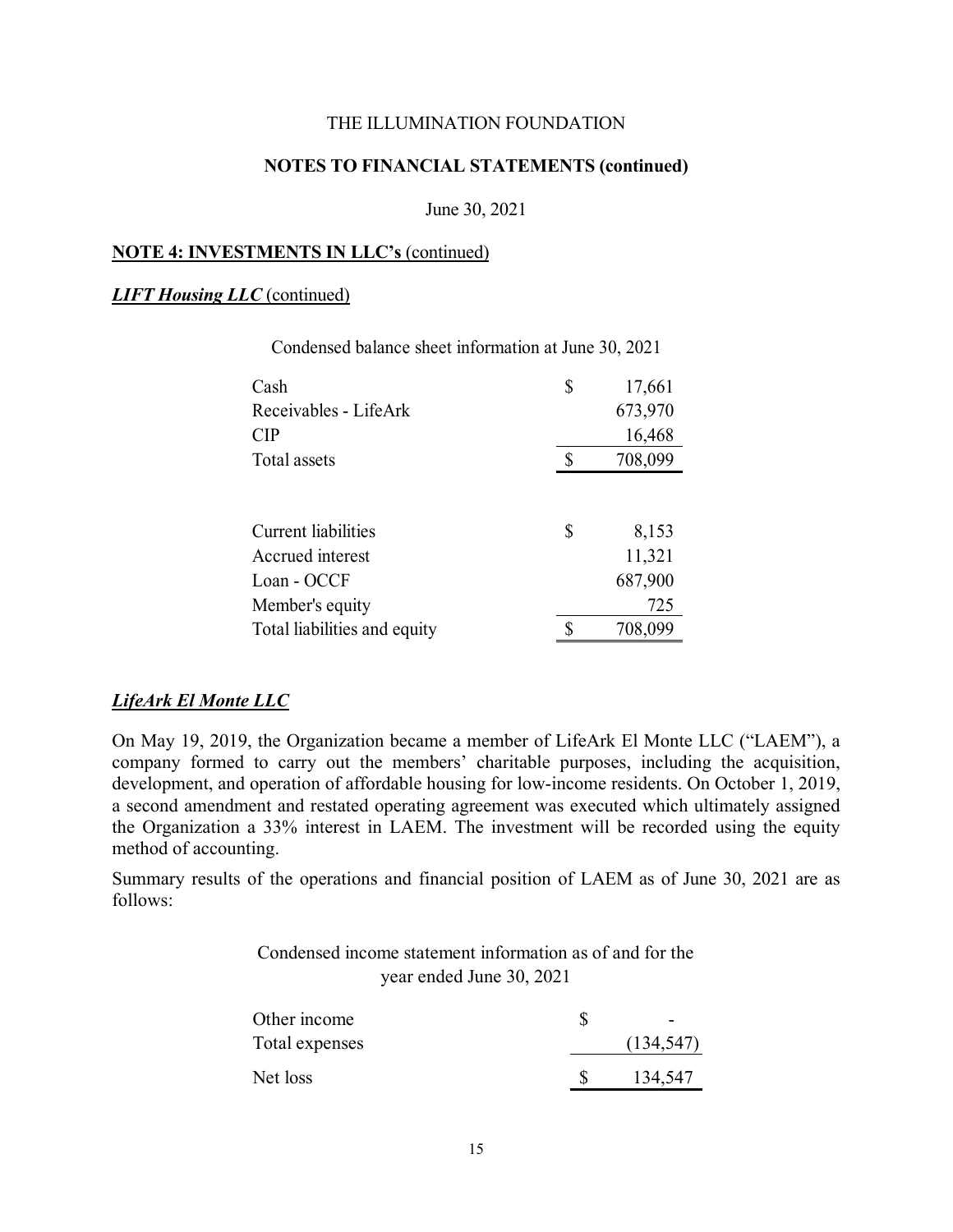#### **NOTES TO FINANCIAL STATEMENTS (continued)**

June 30, 2021

#### **NOTE 4: INVESTMENTS IN LLC's** (continued)

#### *LIFT Housing LLC* (continued)

| Cash                         | \$<br>17,661 |
|------------------------------|--------------|
| Receivables - LifeArk        | 673,970      |
| CIP                          | 16,468       |
| Total assets                 | 708,099      |
|                              |              |
| Current liabilities          | \$<br>8,153  |
| Accrued interest             | 11,321       |
| Loan - OCCF                  | 687,900      |
| Member's equity              | 725          |
| Total liabilities and equity | 708,099      |

Condensed balance sheet information at June 30, 2021

## *LifeArk El Monte LLC*

On May 19, 2019, the Organization became a member of LifeArk El Monte LLC ("LAEM"), a company formed to carry out the members' charitable purposes, including the acquisition, development, and operation of affordable housing for low-income residents. On October 1, 2019, a second amendment and restated operating agreement was executed which ultimately assigned the Organization a 33% interest in LAEM. The investment will be recorded using the equity method of accounting.

Summary results of the operations and financial position of LAEM as of June 30, 2021 are as follows:

| Condensed income statement information as of and for the |                          |  |
|----------------------------------------------------------|--------------------------|--|
|                                                          | year ended June 30, 2021 |  |

| Other income   |            |
|----------------|------------|
| Total expenses | (134, 547) |
| Net loss       | 134,547    |
|                |            |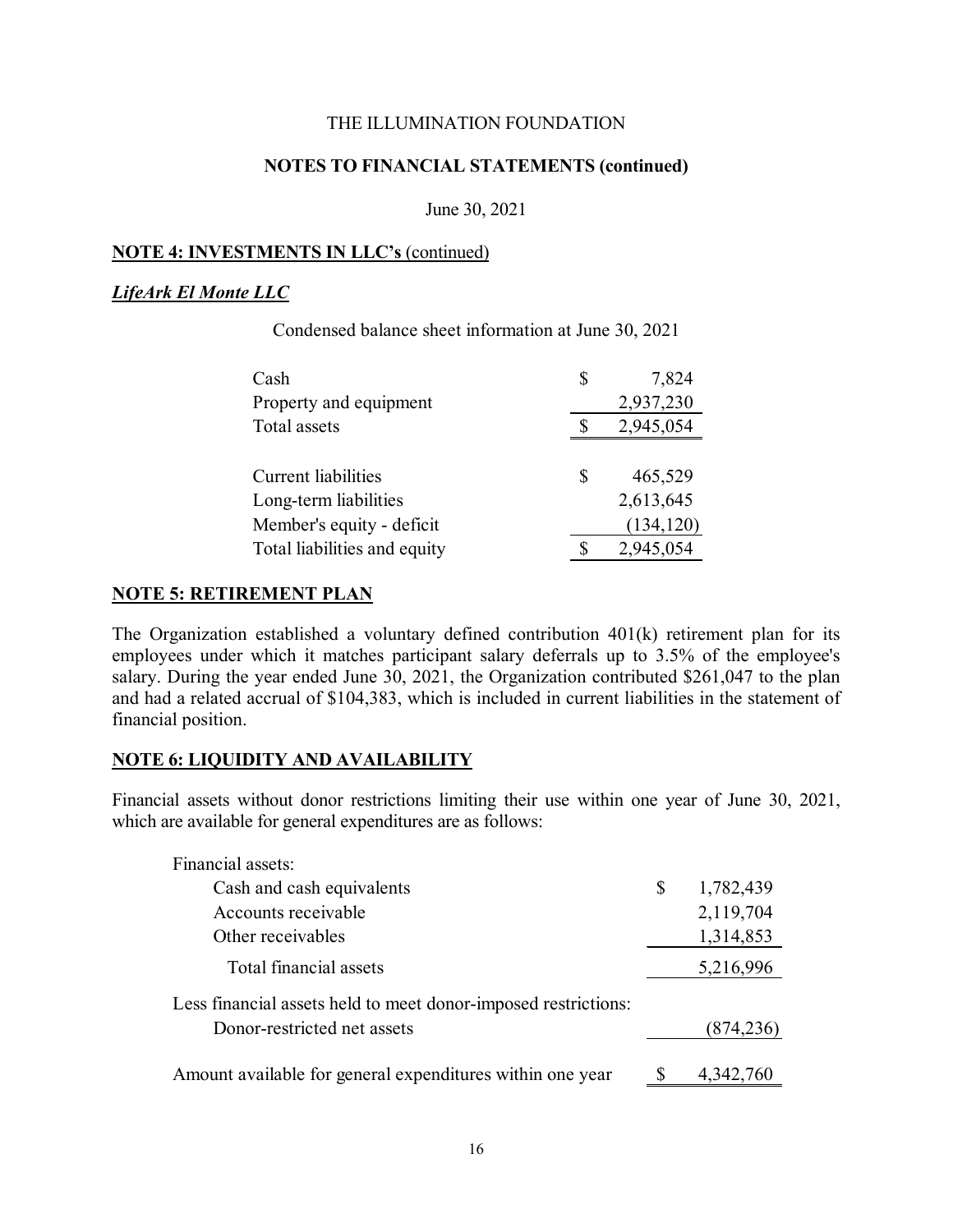#### **NOTES TO FINANCIAL STATEMENTS (continued)**

June 30, 2021

#### **NOTE 4: INVESTMENTS IN LLC's** (continued)

#### *LifeArk El Monte LLC*

| Cash<br>Property and equipment | S | 7,824<br>2,937,230 |
|--------------------------------|---|--------------------|
| Total assets                   |   | 2,945,054          |
| Current liabilities            | S | 465,529            |
| Long-term liabilities          |   | 2,613,645          |

Member's equity - deficit (134,120) Total liabilities and equity  $$2,945,054$ 

Condensed balance sheet information at June 30, 2021

#### **NOTE 5: RETIREMENT PLAN**

The Organization established a voluntary defined contribution 401(k) retirement plan for its employees under which it matches participant salary deferrals up to 3.5% of the employee's salary. During the year ended June 30, 2021, the Organization contributed \$261,047 to the plan and had a related accrual of \$104,383, which is included in current liabilities in the statement of financial position.

#### **NOTE 6: LIQUIDITY AND AVAILABILITY**

Financial assets without donor restrictions limiting their use within one year of June 30, 2021, which are available for general expenditures are as follows:

| \$<br>1,782,439 |
|-----------------|
| 2,119,704       |
| 1,314,853       |
| 5,216,996       |
|                 |
| (874, 236)      |
| 4,342,760       |
|                 |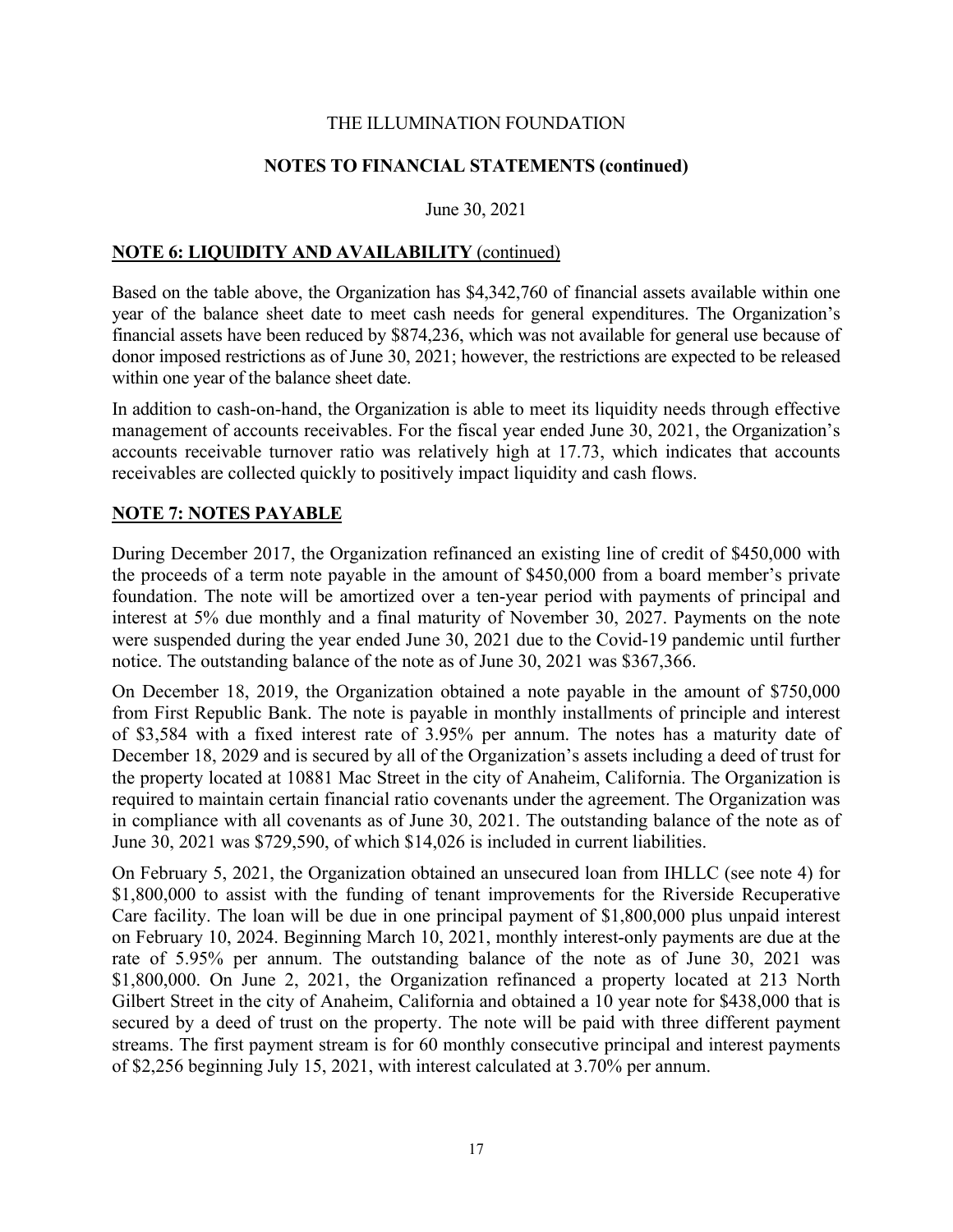#### **NOTES TO FINANCIAL STATEMENTS (continued)**

June 30, 2021

#### **NOTE 6: LIQUIDITY AND AVAILABILITY** (continued)

Based on the table above, the Organization has \$4,342,760 of financial assets available within one year of the balance sheet date to meet cash needs for general expenditures. The Organization's financial assets have been reduced by \$874,236, which was not available for general use because of donor imposed restrictions as of June 30, 2021; however, the restrictions are expected to be released within one year of the balance sheet date.

In addition to cash-on-hand, the Organization is able to meet its liquidity needs through effective management of accounts receivables. For the fiscal year ended June 30, 2021, the Organization's accounts receivable turnover ratio was relatively high at 17.73, which indicates that accounts receivables are collected quickly to positively impact liquidity and cash flows.

#### **NOTE 7: NOTES PAYABLE**

During December 2017, the Organization refinanced an existing line of credit of \$450,000 with the proceeds of a term note payable in the amount of \$450,000 from a board member's private foundation. The note will be amortized over a ten-year period with payments of principal and interest at 5% due monthly and a final maturity of November 30, 2027. Payments on the note were suspended during the year ended June 30, 2021 due to the Covid-19 pandemic until further notice. The outstanding balance of the note as of June 30, 2021 was \$367,366.

On December 18, 2019, the Organization obtained a note payable in the amount of \$750,000 from First Republic Bank. The note is payable in monthly installments of principle and interest of \$3,584 with a fixed interest rate of 3.95% per annum. The notes has a maturity date of December 18, 2029 and is secured by all of the Organization's assets including a deed of trust for the property located at 10881 Mac Street in the city of Anaheim, California. The Organization is required to maintain certain financial ratio covenants under the agreement. The Organization was in compliance with all covenants as of June 30, 2021. The outstanding balance of the note as of June 30, 2021 was \$729,590, of which \$14,026 is included in current liabilities.

On February 5, 2021, the Organization obtained an unsecured loan from IHLLC (see note 4) for \$1,800,000 to assist with the funding of tenant improvements for the Riverside Recuperative Care facility. The loan will be due in one principal payment of \$1,800,000 plus unpaid interest on February 10, 2024. Beginning March 10, 2021, monthly interest-only payments are due at the rate of 5.95% per annum. The outstanding balance of the note as of June 30, 2021 was \$1,800,000. On June 2, 2021, the Organization refinanced a property located at 213 North Gilbert Street in the city of Anaheim, California and obtained a 10 year note for \$438,000 that is secured by a deed of trust on the property. The note will be paid with three different payment streams. The first payment stream is for 60 monthly consecutive principal and interest payments of \$2,256 beginning July 15, 2021, with interest calculated at 3.70% per annum.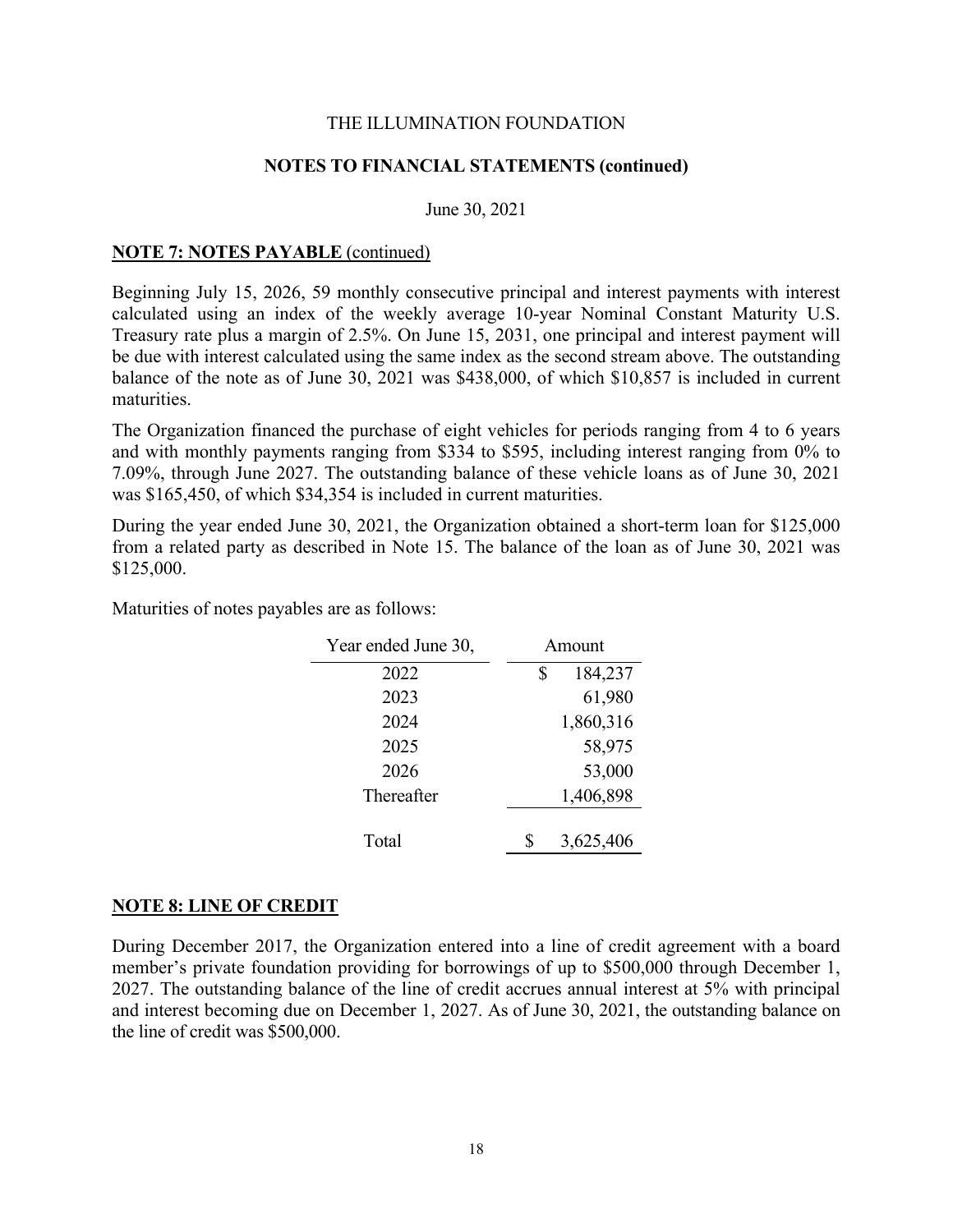#### **NOTES TO FINANCIAL STATEMENTS (continued)**

#### June 30, 2021

#### **NOTE 7: NOTES PAYABLE** (continued)

Beginning July 15, 2026, 59 monthly consecutive principal and interest payments with interest calculated using an index of the weekly average 10-year Nominal Constant Maturity U.S. Treasury rate plus a margin of 2.5%. On June 15, 2031, one principal and interest payment will be due with interest calculated using the same index as the second stream above. The outstanding balance of the note as of June 30, 2021 was \$438,000, of which \$10,857 is included in current maturities.

The Organization financed the purchase of eight vehicles for periods ranging from 4 to 6 years and with monthly payments ranging from \$334 to \$595, including interest ranging from 0% to 7.09%, through June 2027. The outstanding balance of these vehicle loans as of June 30, 2021 was \$165,450, of which \$34,354 is included in current maturities.

During the year ended June 30, 2021, the Organization obtained a short-term loan for \$125,000 from a related party as described in Note 15. The balance of the loan as of June 30, 2021 was \$125,000.

Maturities of notes payables are as follows:

| Year ended June 30, | Amount         |  |  |
|---------------------|----------------|--|--|
| 2022                | \$<br>184,237  |  |  |
| 2023                | 61,980         |  |  |
| 2024                | 1,860,316      |  |  |
| 2025                | 58,975         |  |  |
| 2026                | 53,000         |  |  |
| Thereafter          | 1,406,898      |  |  |
| Total               | S<br>3,625,406 |  |  |

#### **NOTE 8: LINE OF CREDIT**

During December 2017, the Organization entered into a line of credit agreement with a board member's private foundation providing for borrowings of up to \$500,000 through December 1, 2027. The outstanding balance of the line of credit accrues annual interest at 5% with principal and interest becoming due on December 1, 2027. As of June 30, 2021, the outstanding balance on the line of credit was \$500,000.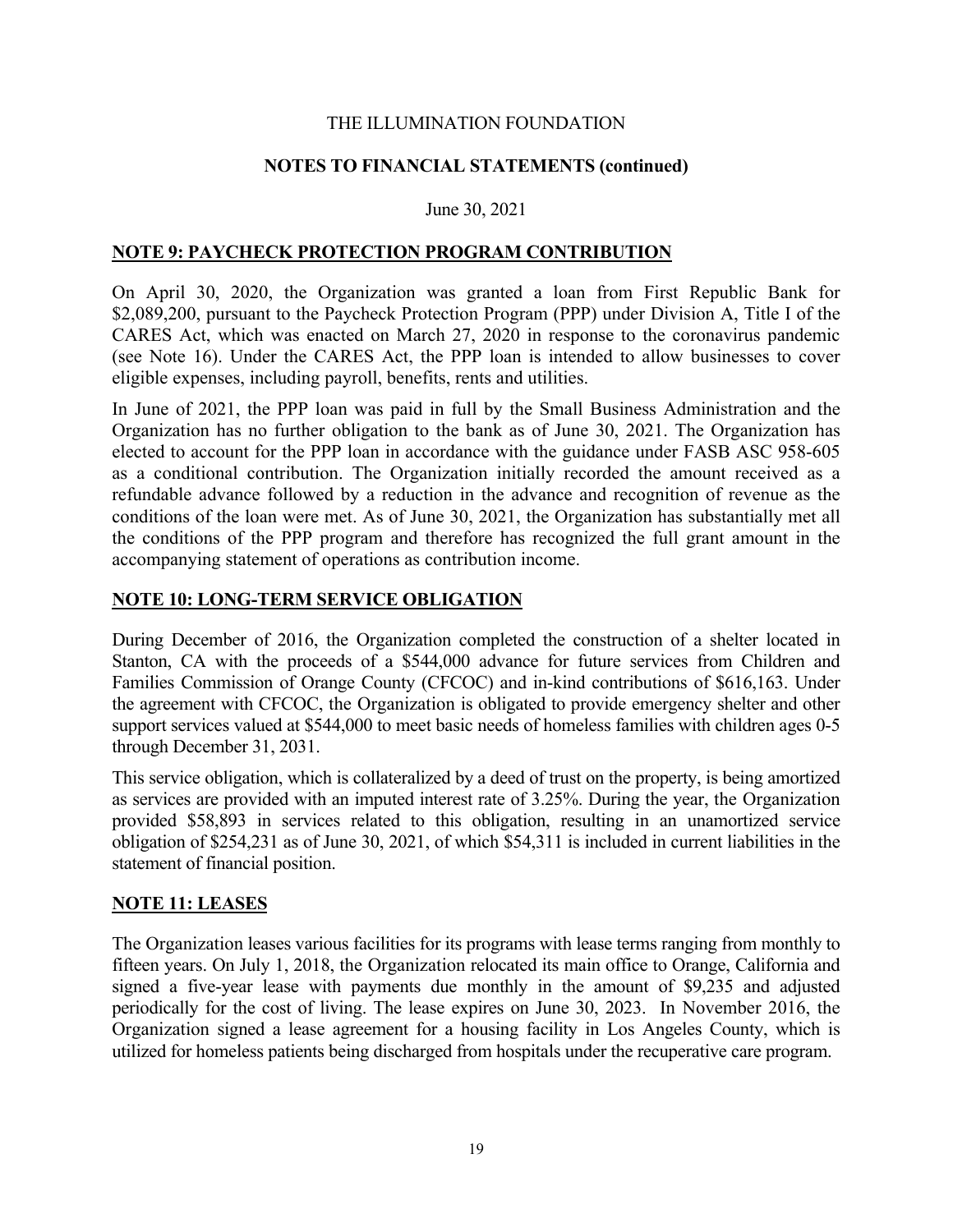#### **NOTES TO FINANCIAL STATEMENTS (continued)**

#### June 30, 2021

#### **NOTE 9: PAYCHECK PROTECTION PROGRAM CONTRIBUTION**

On April 30, 2020, the Organization was granted a loan from First Republic Bank for \$2,089,200, pursuant to the Paycheck Protection Program (PPP) under Division A, Title I of the CARES Act, which was enacted on March 27, 2020 in response to the coronavirus pandemic (see Note 16). Under the CARES Act, the PPP loan is intended to allow businesses to cover eligible expenses, including payroll, benefits, rents and utilities.

In June of 2021, the PPP loan was paid in full by the Small Business Administration and the Organization has no further obligation to the bank as of June 30, 2021. The Organization has elected to account for the PPP loan in accordance with the guidance under FASB ASC 958-605 as a conditional contribution. The Organization initially recorded the amount received as a refundable advance followed by a reduction in the advance and recognition of revenue as the conditions of the loan were met. As of June 30, 2021, the Organization has substantially met all the conditions of the PPP program and therefore has recognized the full grant amount in the accompanying statement of operations as contribution income.

#### **NOTE 10: LONG-TERM SERVICE OBLIGATION**

During December of 2016, the Organization completed the construction of a shelter located in Stanton, CA with the proceeds of a \$544,000 advance for future services from Children and Families Commission of Orange County (CFCOC) and in-kind contributions of \$616,163. Under the agreement with CFCOC, the Organization is obligated to provide emergency shelter and other support services valued at \$544,000 to meet basic needs of homeless families with children ages 0-5 through December 31, 2031.

This service obligation, which is collateralized by a deed of trust on the property, is being amortized as services are provided with an imputed interest rate of 3.25%. During the year, the Organization provided \$58,893 in services related to this obligation, resulting in an unamortized service obligation of \$254,231 as of June 30, 2021, of which \$54,311 is included in current liabilities in the statement of financial position.

#### **NOTE 11: LEASES**

The Organization leases various facilities for its programs with lease terms ranging from monthly to fifteen years. On July 1, 2018, the Organization relocated its main office to Orange, California and signed a five-year lease with payments due monthly in the amount of \$9,235 and adjusted periodically for the cost of living. The lease expires on June 30, 2023. In November 2016, the Organization signed a lease agreement for a housing facility in Los Angeles County, which is utilized for homeless patients being discharged from hospitals under the recuperative care program.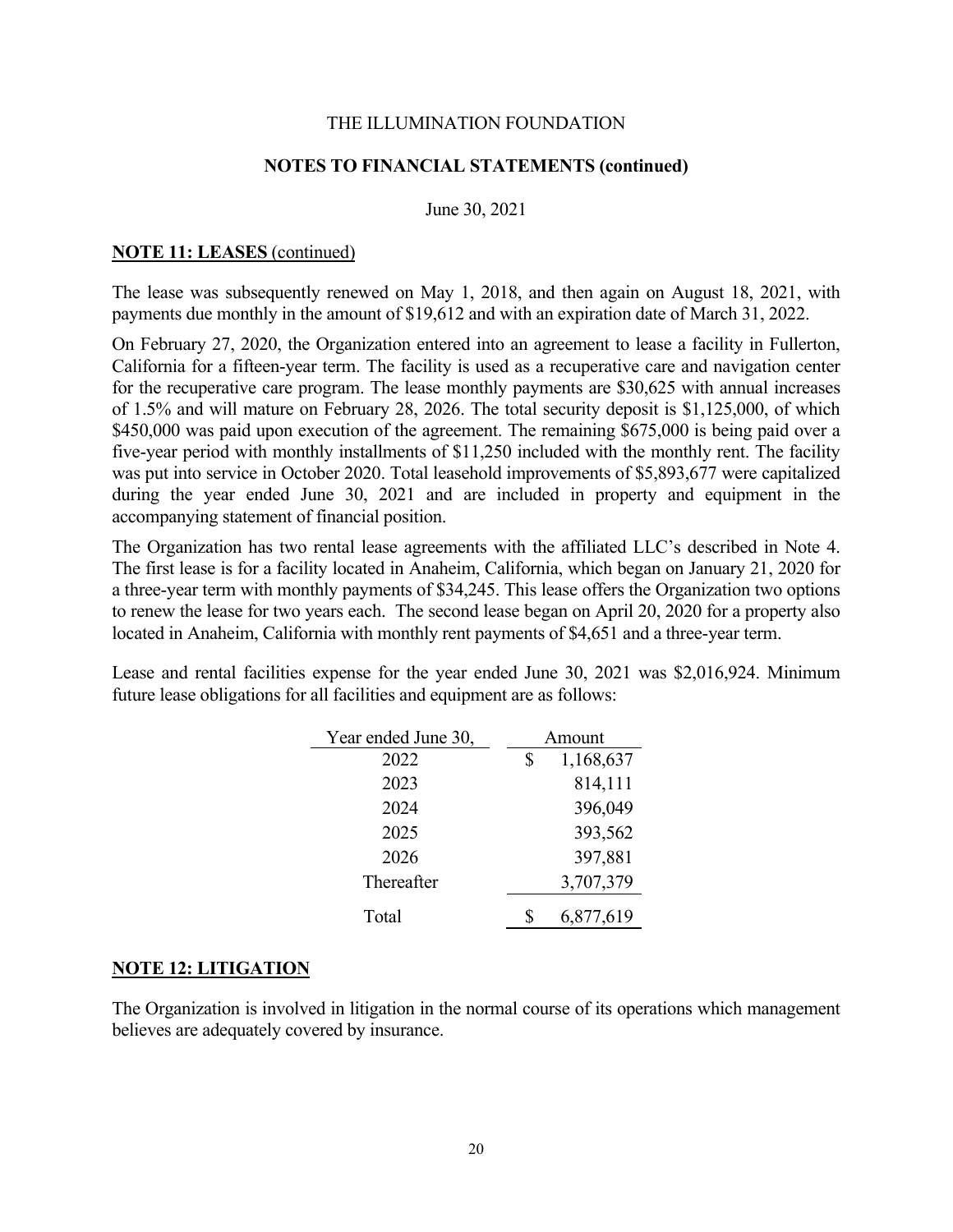#### **NOTES TO FINANCIAL STATEMENTS (continued)**

June 30, 2021

#### **NOTE 11: LEASES** (continued)

The lease was subsequently renewed on May 1, 2018, and then again on August 18, 2021, with payments due monthly in the amount of \$19,612 and with an expiration date of March 31, 2022.

On February 27, 2020, the Organization entered into an agreement to lease a facility in Fullerton, California for a fifteen-year term. The facility is used as a recuperative care and navigation center for the recuperative care program. The lease monthly payments are \$30,625 with annual increases of 1.5% and will mature on February 28, 2026. The total security deposit is \$1,125,000, of which \$450,000 was paid upon execution of the agreement. The remaining \$675,000 is being paid over a five-year period with monthly installments of \$11,250 included with the monthly rent. The facility was put into service in October 2020. Total leasehold improvements of \$5,893,677 were capitalized during the year ended June 30, 2021 and are included in property and equipment in the accompanying statement of financial position.

The Organization has two rental lease agreements with the affiliated LLC's described in Note 4. The first lease is for a facility located in Anaheim, California, which began on January 21, 2020 for a three-year term with monthly payments of \$34,245. This lease offers the Organization two options to renew the lease for two years each. The second lease began on April 20, 2020 for a property also located in Anaheim, California with monthly rent payments of \$4,651 and a three-year term.

Lease and rental facilities expense for the year ended June 30, 2021 was \$2,016,924. Minimum future lease obligations for all facilities and equipment are as follows:

| Year ended June 30, | Amount |           |  |
|---------------------|--------|-----------|--|
| 2022                | \$     | 1,168,637 |  |
| 2023                |        | 814,111   |  |
| 2024                |        | 396,049   |  |
| 2025                |        | 393,562   |  |
| 2026                |        | 397,881   |  |
| Thereafter          |        | 3,707,379 |  |
| Total               |        | 6,877,619 |  |

#### **NOTE 12: LITIGATION**

The Organization is involved in litigation in the normal course of its operations which management believes are adequately covered by insurance.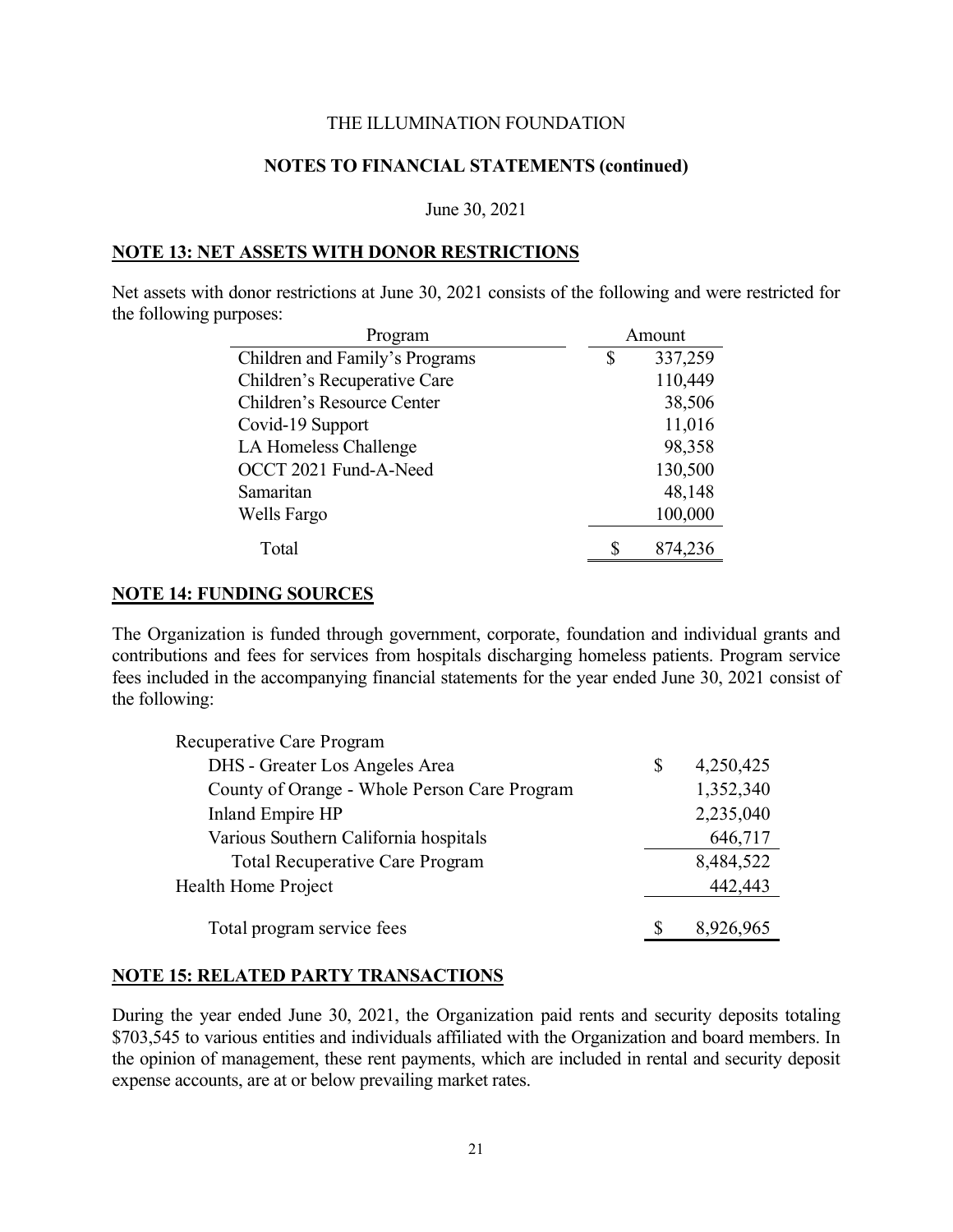#### **NOTES TO FINANCIAL STATEMENTS (continued)**

June 30, 2021

#### **NOTE 13: NET ASSETS WITH DONOR RESTRICTIONS**

Net assets with donor restrictions at June 30, 2021 consists of the following and were restricted for the following purposes:

| Program                        | Amount |         |
|--------------------------------|--------|---------|
| Children and Family's Programs | \$     | 337,259 |
| Children's Recuperative Care   |        | 110,449 |
| Children's Resource Center     |        | 38,506  |
| Covid-19 Support               |        | 11,016  |
| LA Homeless Challenge          |        | 98,358  |
| OCCT 2021 Fund-A-Need          |        | 130,500 |
| Samaritan                      |        | 48,148  |
| Wells Fargo                    |        | 100,000 |
| Total                          | \$     | 874,236 |

#### **NOTE 14: FUNDING SOURCES**

The Organization is funded through government, corporate, foundation and individual grants and contributions and fees for services from hospitals discharging homeless patients. Program service fees included in the accompanying financial statements for the year ended June 30, 2021 consist of the following:

| Recuperative Care Program                    |   |           |
|----------------------------------------------|---|-----------|
| DHS - Greater Los Angeles Area               | S | 4,250,425 |
| County of Orange - Whole Person Care Program |   | 1,352,340 |
| Inland Empire HP                             |   | 2,235,040 |
| Various Southern California hospitals        |   | 646,717   |
| <b>Total Recuperative Care Program</b>       |   | 8,484,522 |
| Health Home Project                          |   | 442,443   |
|                                              |   |           |
| Total program service fees                   |   | 8,926,965 |

#### **NOTE 15: RELATED PARTY TRANSACTIONS**

During the year ended June 30, 2021, the Organization paid rents and security deposits totaling \$703,545 to various entities and individuals affiliated with the Organization and board members. In the opinion of management, these rent payments, which are included in rental and security deposit expense accounts, are at or below prevailing market rates.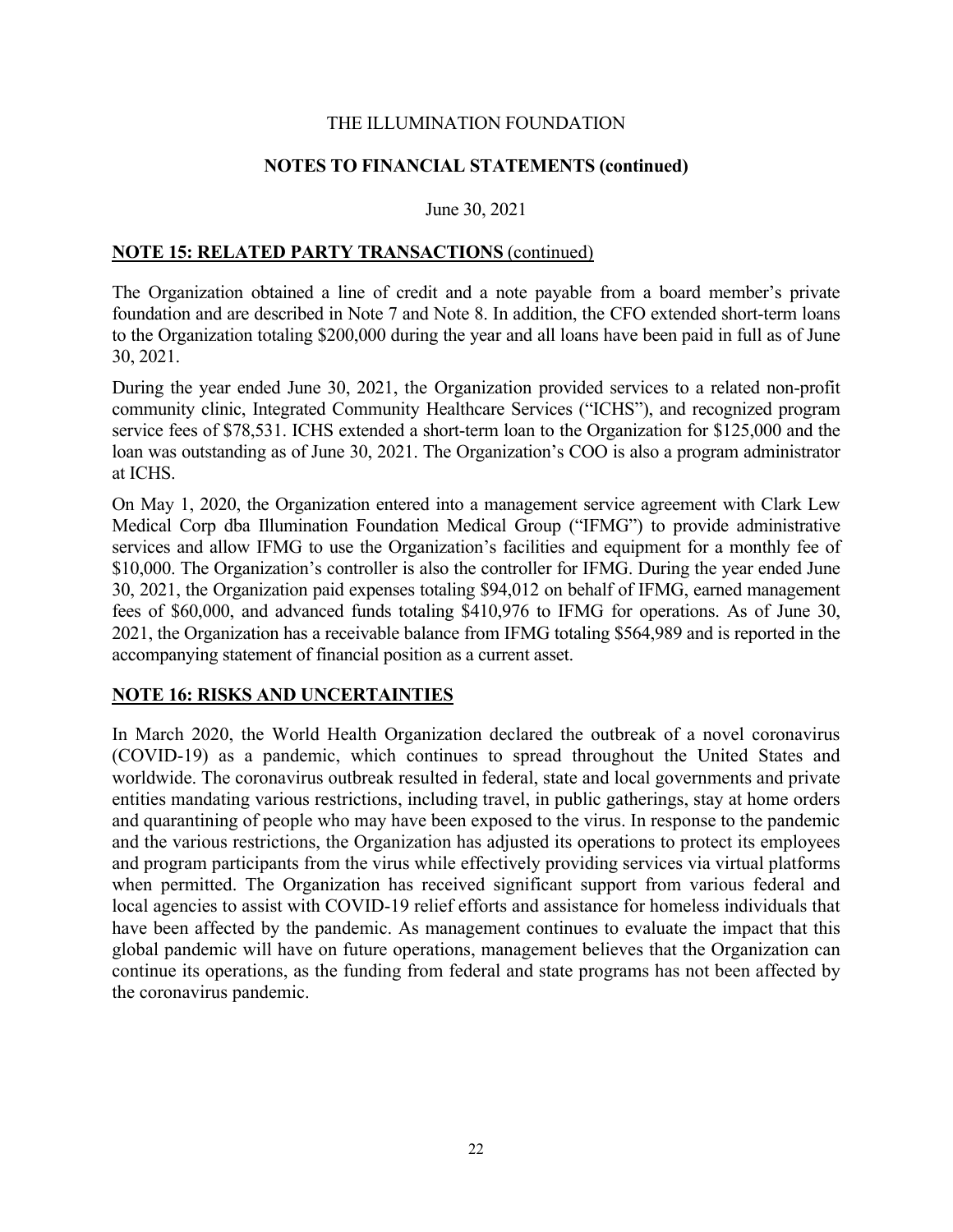#### **NOTES TO FINANCIAL STATEMENTS (continued)**

#### June 30, 2021

#### **NOTE 15: RELATED PARTY TRANSACTIONS** (continued)

The Organization obtained a line of credit and a note payable from a board member's private foundation and are described in Note 7 and Note 8. In addition, the CFO extended short-term loans to the Organization totaling \$200,000 during the year and all loans have been paid in full as of June 30, 2021.

During the year ended June 30, 2021, the Organization provided services to a related non-profit community clinic, Integrated Community Healthcare Services ("ICHS"), and recognized program service fees of \$78,531. ICHS extended a short-term loan to the Organization for \$125,000 and the loan was outstanding as of June 30, 2021. The Organization's COO is also a program administrator at ICHS.

On May 1, 2020, the Organization entered into a management service agreement with Clark Lew Medical Corp dba Illumination Foundation Medical Group ("IFMG") to provide administrative services and allow IFMG to use the Organization's facilities and equipment for a monthly fee of \$10,000. The Organization's controller is also the controller for IFMG. During the year ended June 30, 2021, the Organization paid expenses totaling \$94,012 on behalf of IFMG, earned management fees of \$60,000, and advanced funds totaling \$410,976 to IFMG for operations. As of June 30, 2021, the Organization has a receivable balance from IFMG totaling \$564,989 and is reported in the accompanying statement of financial position as a current asset.

#### **NOTE 16: RISKS AND UNCERTAINTIES**

In March 2020, the World Health Organization declared the outbreak of a novel coronavirus (COVID-19) as a pandemic, which continues to spread throughout the United States and worldwide. The coronavirus outbreak resulted in federal, state and local governments and private entities mandating various restrictions, including travel, in public gatherings, stay at home orders and quarantining of people who may have been exposed to the virus. In response to the pandemic and the various restrictions, the Organization has adjusted its operations to protect its employees and program participants from the virus while effectively providing services via virtual platforms when permitted. The Organization has received significant support from various federal and local agencies to assist with COVID-19 relief efforts and assistance for homeless individuals that have been affected by the pandemic. As management continues to evaluate the impact that this global pandemic will have on future operations, management believes that the Organization can continue its operations, as the funding from federal and state programs has not been affected by the coronavirus pandemic.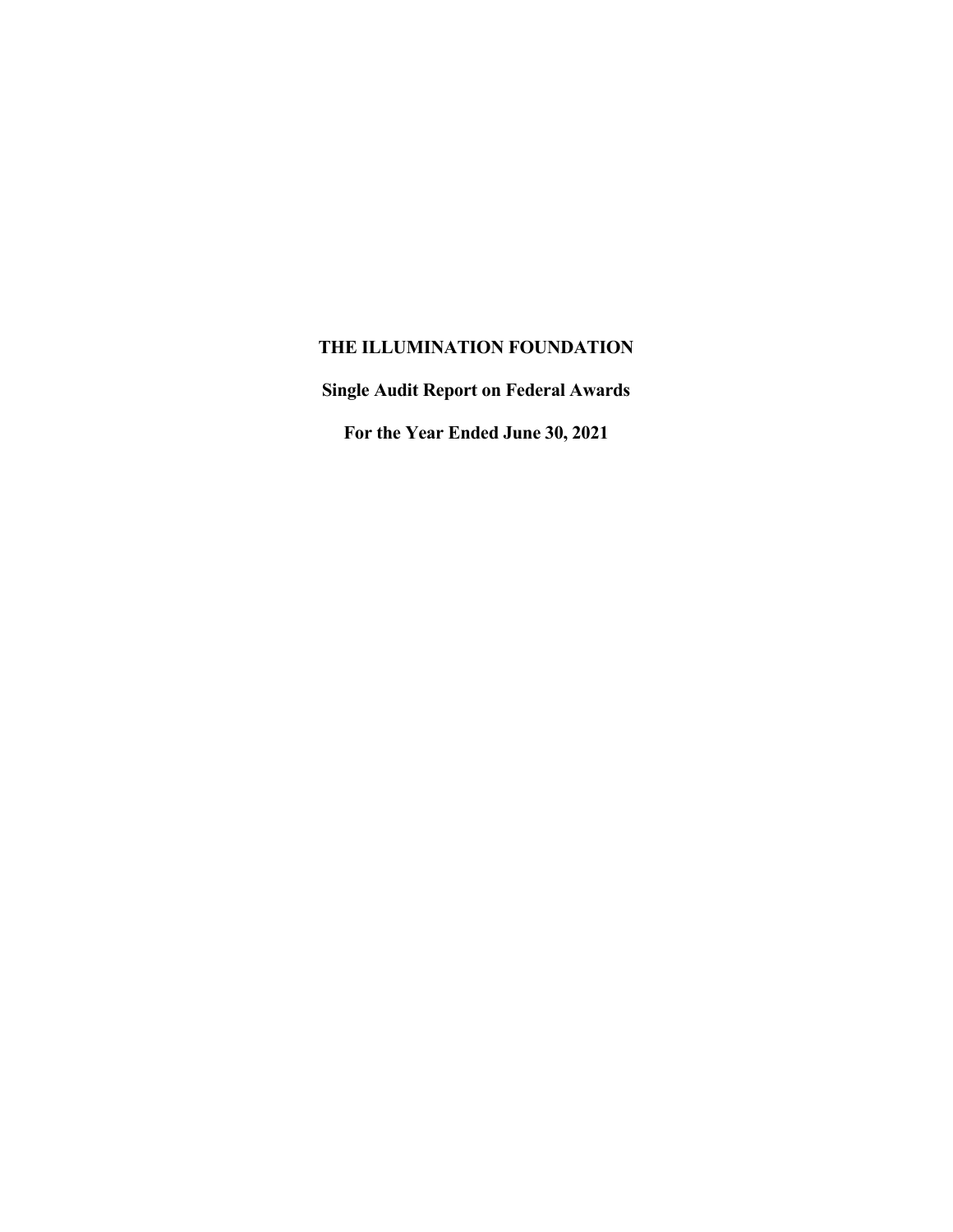**Single Audit Report on Federal Awards** 

**For the Year Ended June 30, 2021**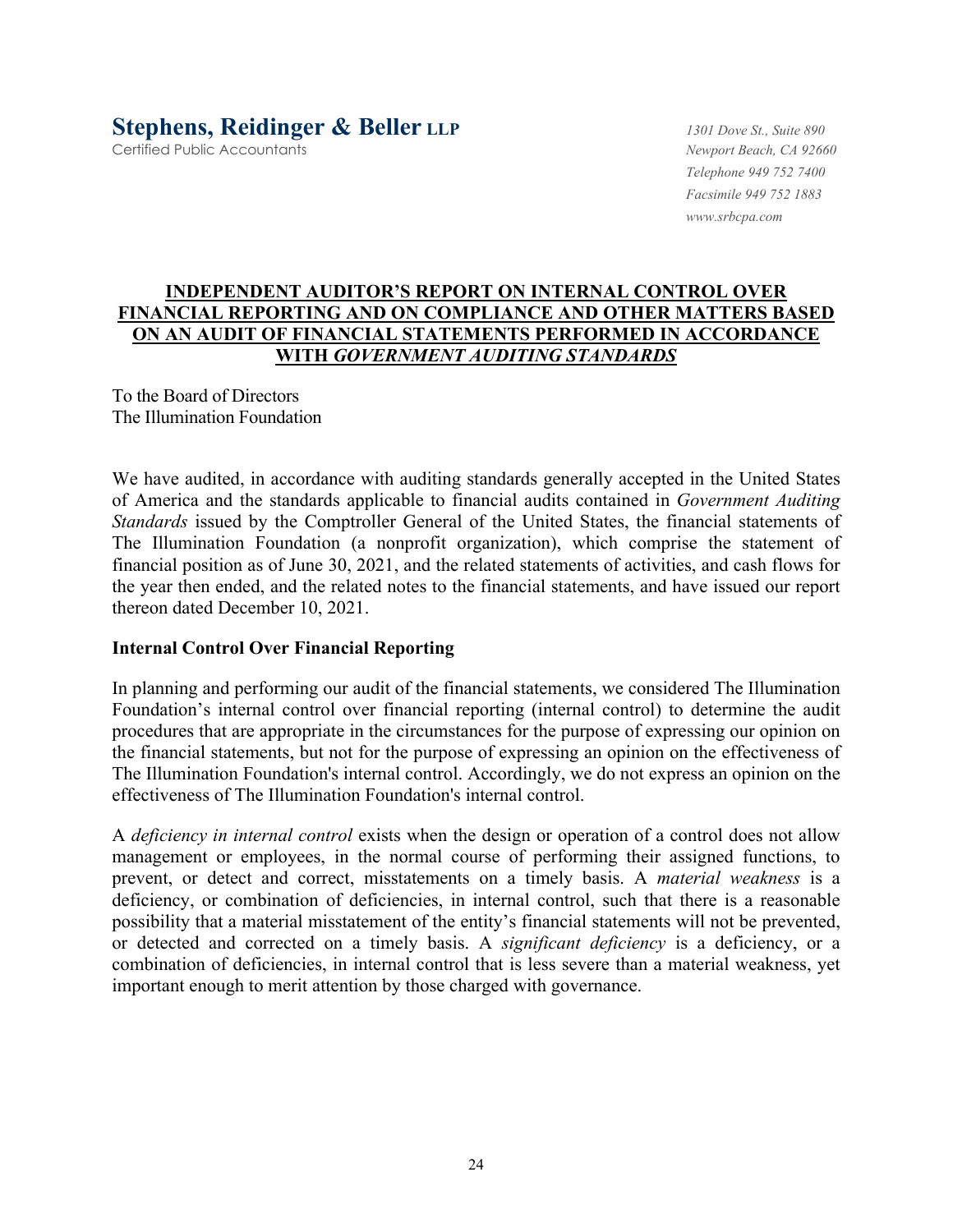## **Stephens, Reidinger & Beller LLP** *1301 Dove St., Suite 890*

Certified Public Accountants *Newport Beach, CA 92660*

*Telephone 949 752 7400 Facsimile 949 752 1883 www.srbcpa.com* 

#### **INDEPENDENT AUDITOR'S REPORT ON INTERNAL CONTROL OVER FINANCIAL REPORTING AND ON COMPLIANCE AND OTHER MATTERS BASED ON AN AUDIT OF FINANCIAL STATEMENTS PERFORMED IN ACCORDANCE WITH** *GOVERNMENT AUDITING STANDARDS*

To the Board of Directors The Illumination Foundation

We have audited, in accordance with auditing standards generally accepted in the United States of America and the standards applicable to financial audits contained in *Government Auditing Standards* issued by the Comptroller General of the United States, the financial statements of The Illumination Foundation (a nonprofit organization), which comprise the statement of financial position as of June 30, 2021, and the related statements of activities, and cash flows for the year then ended, and the related notes to the financial statements, and have issued our report thereon dated December 10, 2021.

#### **Internal Control Over Financial Reporting**

In planning and performing our audit of the financial statements, we considered The Illumination Foundation's internal control over financial reporting (internal control) to determine the audit procedures that are appropriate in the circumstances for the purpose of expressing our opinion on the financial statements, but not for the purpose of expressing an opinion on the effectiveness of The Illumination Foundation's internal control. Accordingly, we do not express an opinion on the effectiveness of The Illumination Foundation's internal control.

A *deficiency in internal control* exists when the design or operation of a control does not allow management or employees, in the normal course of performing their assigned functions, to prevent, or detect and correct, misstatements on a timely basis. A *material weakness* is a deficiency, or combination of deficiencies, in internal control, such that there is a reasonable possibility that a material misstatement of the entity's financial statements will not be prevented, or detected and corrected on a timely basis. A *significant deficiency* is a deficiency, or a combination of deficiencies, in internal control that is less severe than a material weakness, yet important enough to merit attention by those charged with governance.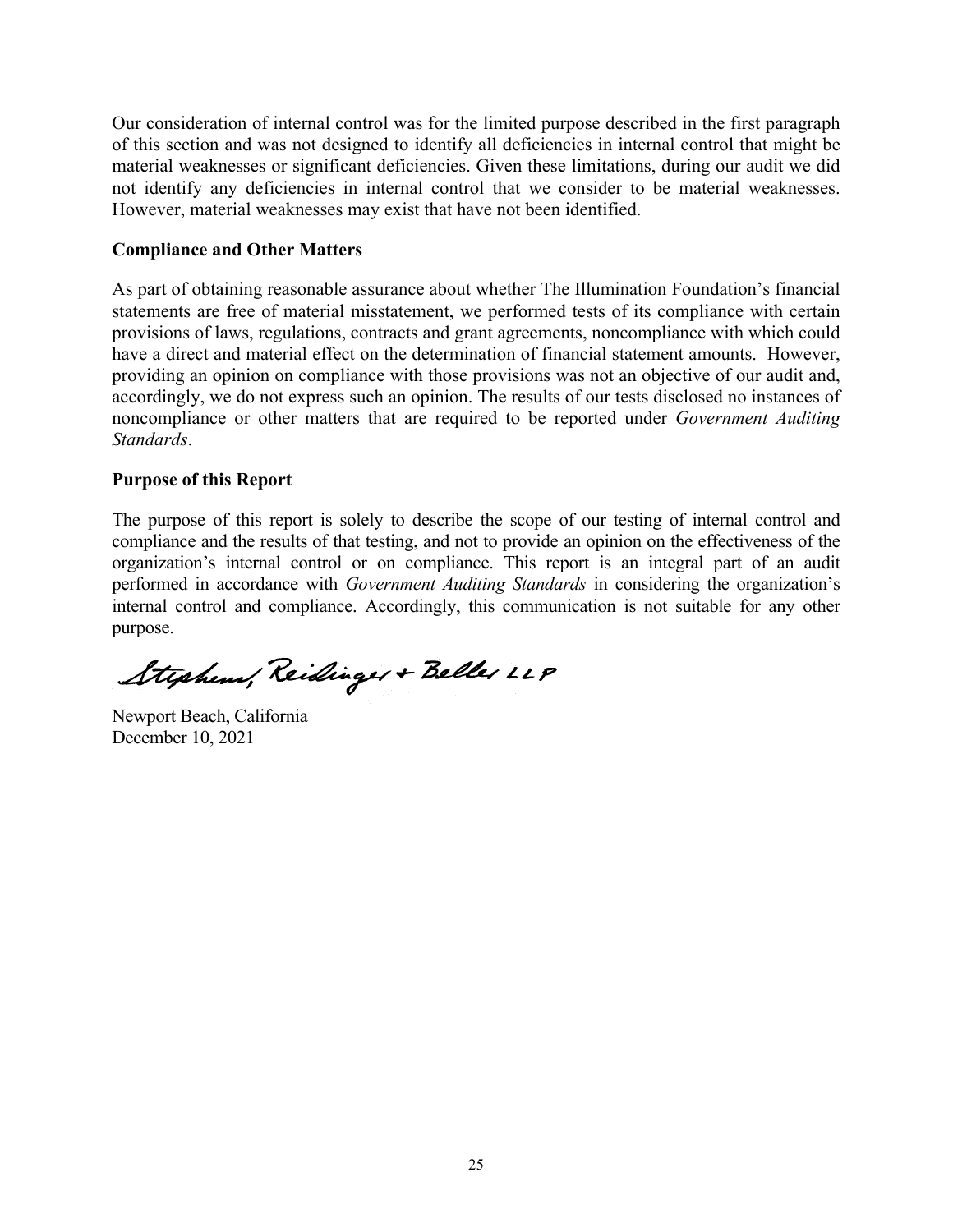Our consideration of internal control was for the limited purpose described in the first paragraph of this section and was not designed to identify all deficiencies in internal control that might be material weaknesses or significant deficiencies. Given these limitations, during our audit we did not identify any deficiencies in internal control that we consider to be material weaknesses. However, material weaknesses may exist that have not been identified.

#### **Compliance and Other Matters**

As part of obtaining reasonable assurance about whether The Illumination Foundation's financial statements are free of material misstatement, we performed tests of its compliance with certain provisions of laws, regulations, contracts and grant agreements, noncompliance with which could have a direct and material effect on the determination of financial statement amounts. However, providing an opinion on compliance with those provisions was not an objective of our audit and, accordingly, we do not express such an opinion. The results of our tests disclosed no instances of noncompliance or other matters that are required to be reported under *Government Auditing Standards*.

#### **Purpose of this Report**

The purpose of this report is solely to describe the scope of our testing of internal control and compliance and the results of that testing, and not to provide an opinion on the effectiveness of the organization's internal control or on compliance. This report is an integral part of an audit performed in accordance with *Government Auditing Standards* in considering the organization's internal control and compliance. Accordingly, this communication is not suitable for any other purpose.

Stephens, Reidinger + Beller LLP

Newport Beach, California December 10, 2021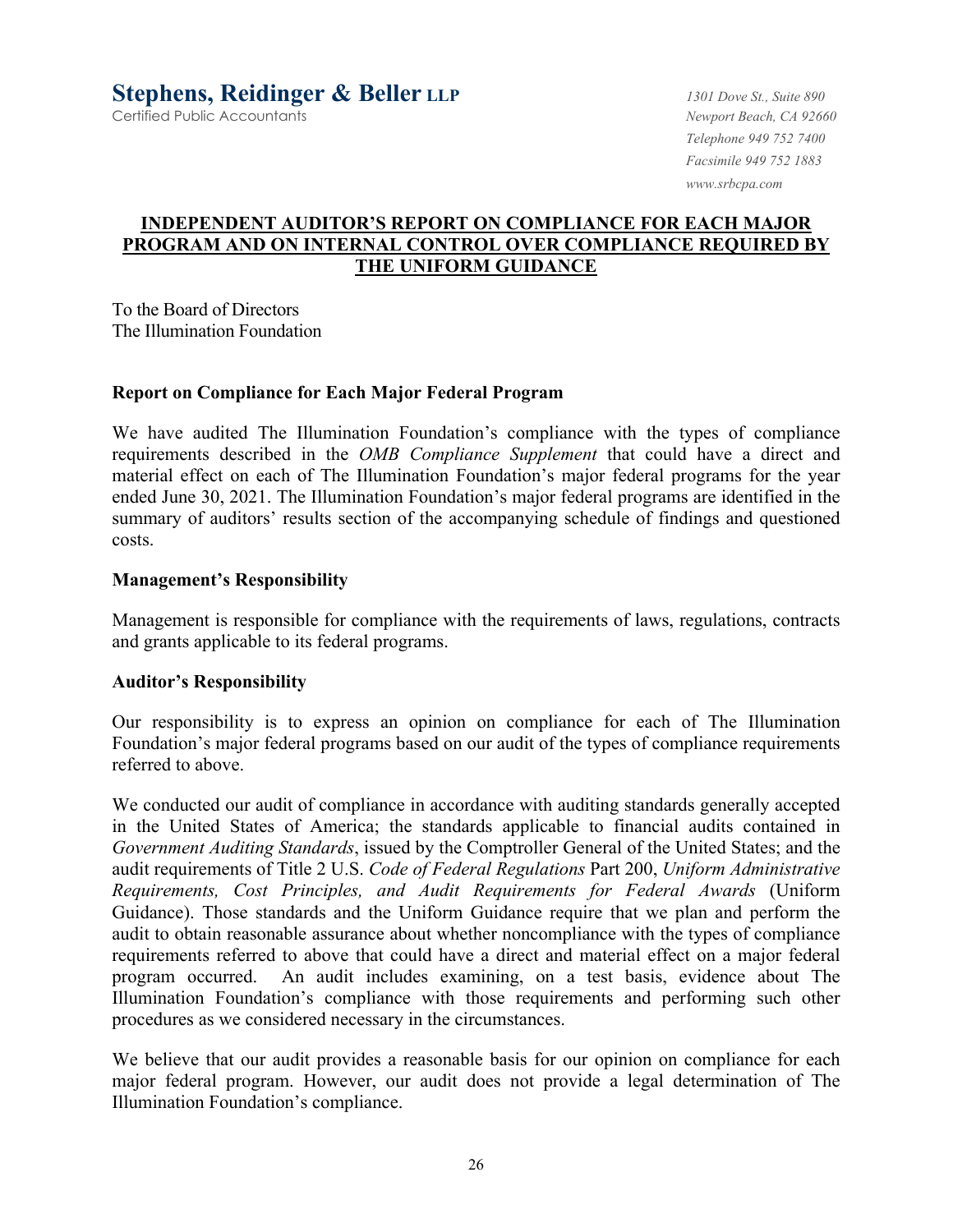# **Stephens, Reidinger & Beller LLP** *1301 Dove St., Suite 890*

Newport Beach, CA 92660 *Telephone 949 752 7400 Facsimile 949 752 1883 www.srbcpa.com* 

## **INDEPENDENT AUDITOR'S REPORT ON COMPLIANCE FOR EACH MAJOR PROGRAM AND ON INTERNAL CONTROL OVER COMPLIANCE REQUIRED BY THE UNIFORM GUIDANCE**

To the Board of Directors The Illumination Foundation

#### **Report on Compliance for Each Major Federal Program**

We have audited The Illumination Foundation's compliance with the types of compliance requirements described in the *OMB Compliance Supplement* that could have a direct and material effect on each of The Illumination Foundation's major federal programs for the year ended June 30, 2021. The Illumination Foundation's major federal programs are identified in the summary of auditors' results section of the accompanying schedule of findings and questioned costs.

#### **Management's Responsibility**

Management is responsible for compliance with the requirements of laws, regulations, contracts and grants applicable to its federal programs.

#### **Auditor's Responsibility**

Our responsibility is to express an opinion on compliance for each of The Illumination Foundation's major federal programs based on our audit of the types of compliance requirements referred to above.

We conducted our audit of compliance in accordance with auditing standards generally accepted in the United States of America; the standards applicable to financial audits contained in *Government Auditing Standards*, issued by the Comptroller General of the United States; and the audit requirements of Title 2 U.S. *Code of Federal Regulations* Part 200, *Uniform Administrative Requirements, Cost Principles, and Audit Requirements for Federal Awards* (Uniform Guidance). Those standards and the Uniform Guidance require that we plan and perform the audit to obtain reasonable assurance about whether noncompliance with the types of compliance requirements referred to above that could have a direct and material effect on a major federal program occurred. An audit includes examining, on a test basis, evidence about The Illumination Foundation's compliance with those requirements and performing such other procedures as we considered necessary in the circumstances.

We believe that our audit provides a reasonable basis for our opinion on compliance for each major federal program. However, our audit does not provide a legal determination of The Illumination Foundation's compliance.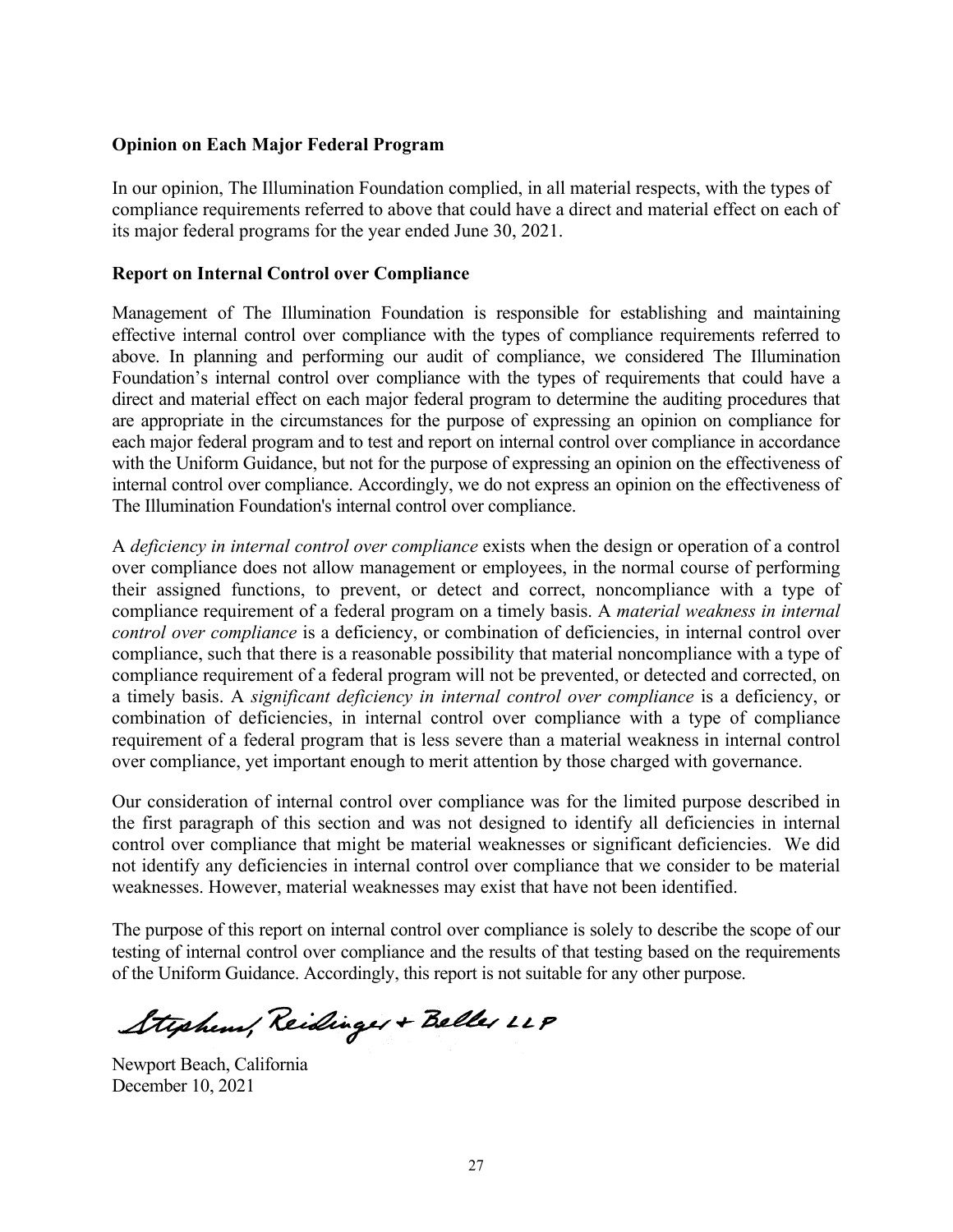#### **Opinion on Each Major Federal Program**

In our opinion, The Illumination Foundation complied, in all material respects, with the types of compliance requirements referred to above that could have a direct and material effect on each of its major federal programs for the year ended June 30, 2021.

#### **Report on Internal Control over Compliance**

Management of The Illumination Foundation is responsible for establishing and maintaining effective internal control over compliance with the types of compliance requirements referred to above. In planning and performing our audit of compliance, we considered The Illumination Foundation's internal control over compliance with the types of requirements that could have a direct and material effect on each major federal program to determine the auditing procedures that are appropriate in the circumstances for the purpose of expressing an opinion on compliance for each major federal program and to test and report on internal control over compliance in accordance with the Uniform Guidance, but not for the purpose of expressing an opinion on the effectiveness of internal control over compliance. Accordingly, we do not express an opinion on the effectiveness of The Illumination Foundation's internal control over compliance.

A *deficiency in internal control over compliance* exists when the design or operation of a control over compliance does not allow management or employees, in the normal course of performing their assigned functions, to prevent, or detect and correct, noncompliance with a type of compliance requirement of a federal program on a timely basis. A *material weakness in internal control over compliance* is a deficiency, or combination of deficiencies, in internal control over compliance, such that there is a reasonable possibility that material noncompliance with a type of compliance requirement of a federal program will not be prevented, or detected and corrected, on a timely basis. A *significant deficiency in internal control over compliance* is a deficiency, or combination of deficiencies, in internal control over compliance with a type of compliance requirement of a federal program that is less severe than a material weakness in internal control over compliance, yet important enough to merit attention by those charged with governance.

Our consideration of internal control over compliance was for the limited purpose described in the first paragraph of this section and was not designed to identify all deficiencies in internal control over compliance that might be material weaknesses or significant deficiencies. We did not identify any deficiencies in internal control over compliance that we consider to be material weaknesses. However, material weaknesses may exist that have not been identified.

The purpose of this report on internal control over compliance is solely to describe the scope of our testing of internal control over compliance and the results of that testing based on the requirements of the Uniform Guidance. Accordingly, this report is not suitable for any other purpose.

Stephens, Reidinger + Beller LLP

Newport Beach, California December 10, 2021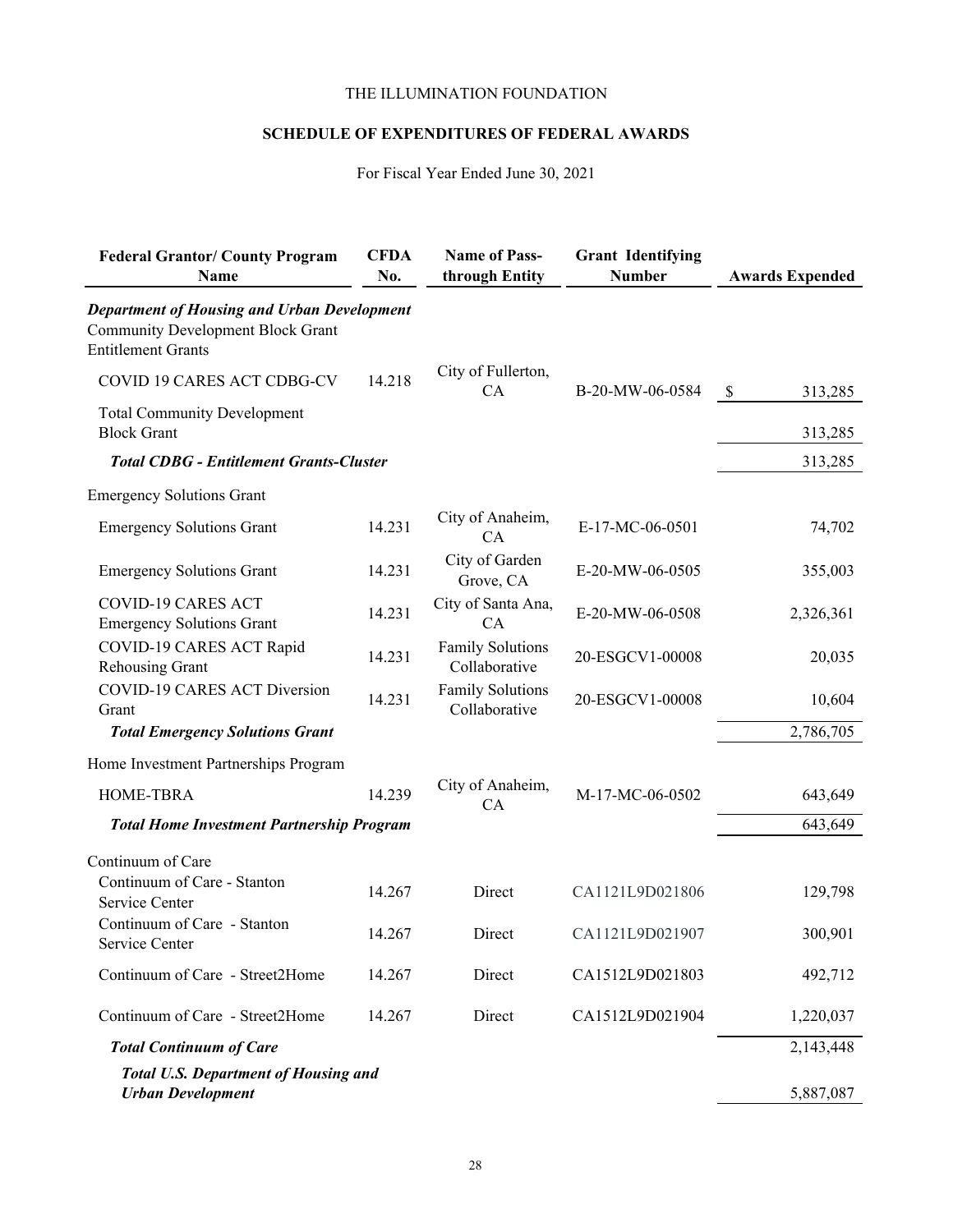## **SCHEDULE OF EXPENDITURES OF FEDERAL AWARDS**

For Fiscal Year Ended June 30, 2021

| <b>Federal Grantor/ County Program</b><br>Name                                                                              | <b>CFDA</b><br>No. | <b>Name of Pass-</b><br>through Entity   | <b>Grant Identifying</b><br><b>Number</b> | <b>Awards Expended</b>  |
|-----------------------------------------------------------------------------------------------------------------------------|--------------------|------------------------------------------|-------------------------------------------|-------------------------|
| <b>Department of Housing and Urban Development</b><br><b>Community Development Block Grant</b><br><b>Entitlement Grants</b> |                    |                                          |                                           |                         |
| COVID 19 CARES ACT CDBG-CV                                                                                                  | 14.218             | City of Fullerton,<br>CA                 | B-20-MW-06-0584                           | $\mathbb{S}$<br>313,285 |
| <b>Total Community Development</b><br><b>Block Grant</b>                                                                    |                    |                                          |                                           | 313,285                 |
| <b>Total CDBG - Entitlement Grants-Cluster</b>                                                                              |                    |                                          |                                           | 313,285                 |
| <b>Emergency Solutions Grant</b>                                                                                            |                    |                                          |                                           |                         |
| <b>Emergency Solutions Grant</b>                                                                                            | 14.231             | City of Anaheim,<br>CA                   | E-17-MC-06-0501                           | 74,702                  |
| <b>Emergency Solutions Grant</b>                                                                                            | 14.231             | City of Garden<br>Grove, CA              | E-20-MW-06-0505                           | 355,003                 |
| <b>COVID-19 CARES ACT</b><br><b>Emergency Solutions Grant</b>                                                               | 14.231             | City of Santa Ana,<br>CA                 | E-20-MW-06-0508                           | 2,326,361               |
| COVID-19 CARES ACT Rapid<br>Rehousing Grant                                                                                 | 14.231             | <b>Family Solutions</b><br>Collaborative | 20-ESGCV1-00008                           | 20,035                  |
| COVID-19 CARES ACT Diversion<br>Grant                                                                                       | 14.231             | <b>Family Solutions</b><br>Collaborative | 20-ESGCV1-00008                           | 10,604                  |
| <b>Total Emergency Solutions Grant</b>                                                                                      |                    |                                          |                                           | 2,786,705               |
| Home Investment Partnerships Program                                                                                        |                    |                                          |                                           |                         |
| <b>HOME-TBRA</b>                                                                                                            | 14.239             | City of Anaheim,<br><b>CA</b>            | M-17-MC-06-0502                           | 643,649                 |
| <b>Total Home Investment Partnership Program</b>                                                                            |                    |                                          |                                           | 643,649                 |
| Continuum of Care<br>Continuum of Care - Stanton<br>Service Center                                                          | 14.267             | Direct                                   | CA1121L9D021806                           | 129,798                 |
| Continuum of Care - Stanton<br>Service Center                                                                               | 14.267             | Direct                                   | CA1121L9D021907                           | 300,901                 |
| Continuum of Care - Street2Home                                                                                             | 14.267             | Direct                                   | CA1512L9D021803                           | 492,712                 |
| Continuum of Care - Street2Home                                                                                             | 14.267             | Direct                                   | CA1512L9D021904                           | 1,220,037               |
| <b>Total Continuum of Care</b>                                                                                              |                    |                                          |                                           | 2,143,448               |
| <b>Total U.S. Department of Housing and</b><br><b>Urban Development</b>                                                     |                    |                                          |                                           | 5,887,087               |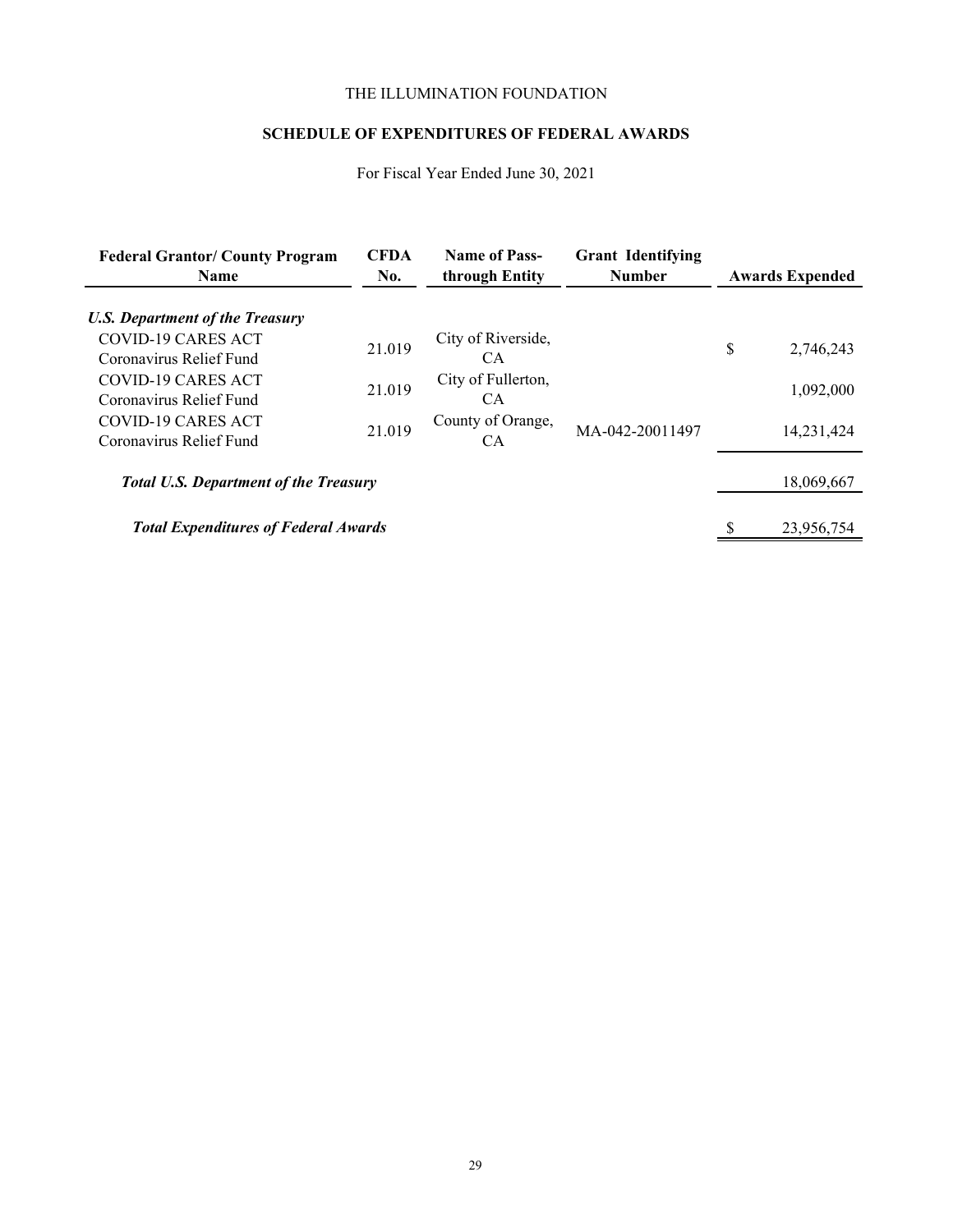## **SCHEDULE OF EXPENDITURES OF FEDERAL AWARDS**

For Fiscal Year Ended June 30, 2021

| <b>Federal Grantor/County Program</b><br><b>Name</b> | <b>CFDA</b><br>No. | <b>Name of Pass-</b><br>through Entity | <b>Grant Identifying</b><br><b>Number</b> |    | <b>Awards Expended</b> |
|------------------------------------------------------|--------------------|----------------------------------------|-------------------------------------------|----|------------------------|
| U.S. Department of the Treasury                      |                    |                                        |                                           |    |                        |
| COVID-19 CARES ACT                                   | 21.019             | City of Riverside,                     |                                           | \$ | 2,746,243              |
| Coronavirus Relief Fund                              |                    | <b>CA</b>                              |                                           |    |                        |
| <b>COVID-19 CARES ACT</b>                            | 21.019             | City of Fullerton,                     |                                           |    | 1,092,000              |
| Coronavirus Relief Fund                              |                    | <b>CA</b>                              |                                           |    |                        |
| <b>COVID-19 CARES ACT</b>                            | 21.019             | County of Orange,                      | MA-042-20011497                           |    | 14,231,424             |
| Coronavirus Relief Fund                              |                    | CА                                     |                                           |    |                        |
|                                                      |                    |                                        |                                           |    |                        |
| <b>Total U.S. Department of the Treasury</b>         |                    |                                        |                                           |    | 18,069,667             |
|                                                      |                    |                                        |                                           |    |                        |
| <b>Total Expenditures of Federal Awards</b>          |                    |                                        |                                           | S  | 23,956,754             |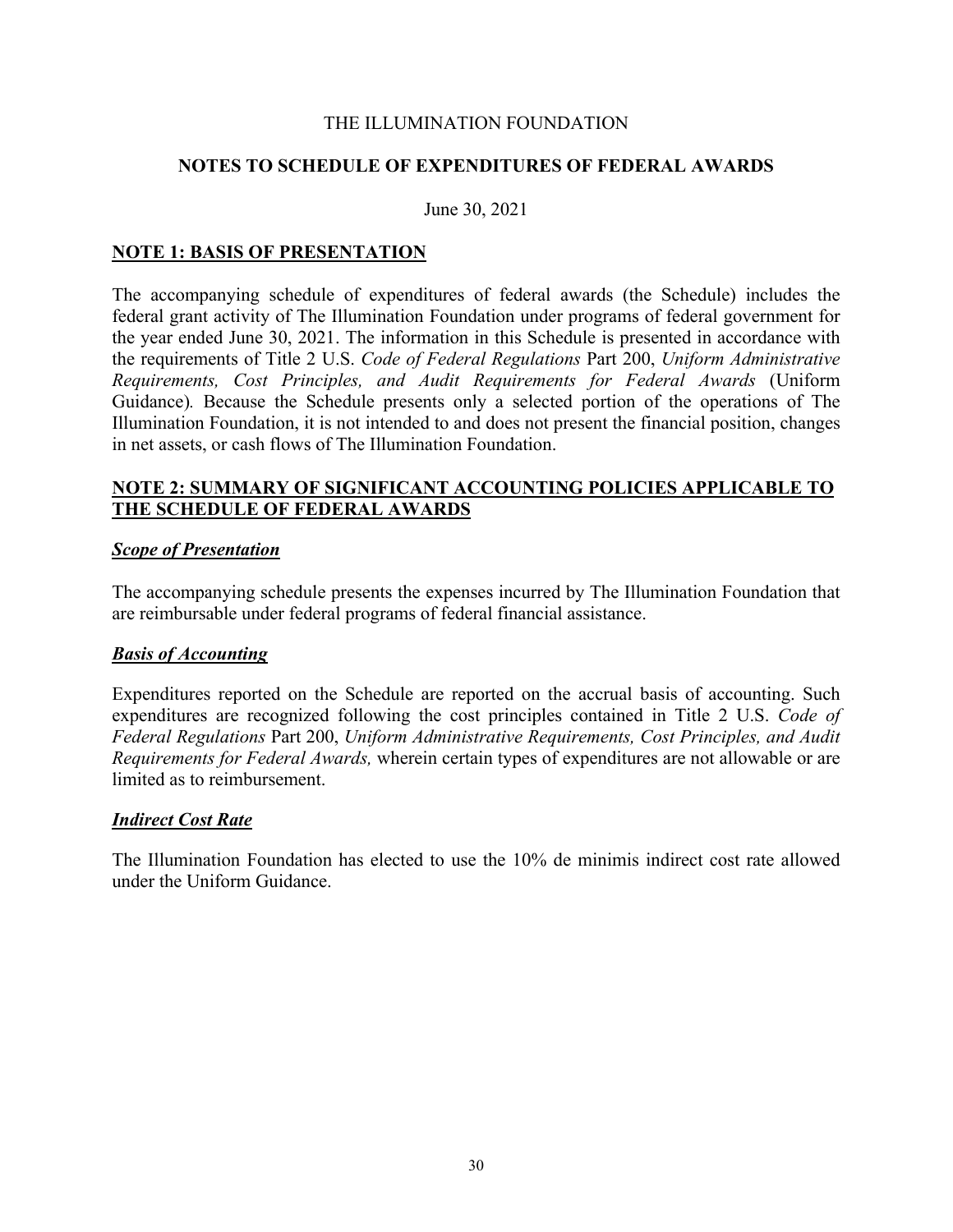## **NOTES TO SCHEDULE OF EXPENDITURES OF FEDERAL AWARDS**

June 30, 2021

#### **NOTE 1: BASIS OF PRESENTATION**

The accompanying schedule of expenditures of federal awards (the Schedule) includes the federal grant activity of The Illumination Foundation under programs of federal government for the year ended June 30, 2021. The information in this Schedule is presented in accordance with the requirements of Title 2 U.S. *Code of Federal Regulations* Part 200, *Uniform Administrative Requirements, Cost Principles, and Audit Requirements for Federal Awards* (Uniform Guidance)*.* Because the Schedule presents only a selected portion of the operations of The Illumination Foundation, it is not intended to and does not present the financial position, changes in net assets, or cash flows of The Illumination Foundation.

#### **NOTE 2: SUMMARY OF SIGNIFICANT ACCOUNTING POLICIES APPLICABLE TO THE SCHEDULE OF FEDERAL AWARDS**

#### *Scope of Presentation*

The accompanying schedule presents the expenses incurred by The Illumination Foundation that are reimbursable under federal programs of federal financial assistance.

#### *Basis of Accounting*

Expenditures reported on the Schedule are reported on the accrual basis of accounting. Such expenditures are recognized following the cost principles contained in Title 2 U.S. *Code of Federal Regulations* Part 200, *Uniform Administrative Requirements, Cost Principles, and Audit Requirements for Federal Awards,* wherein certain types of expenditures are not allowable or are limited as to reimbursement.

#### *Indirect Cost Rate*

The Illumination Foundation has elected to use the 10% de minimis indirect cost rate allowed under the Uniform Guidance.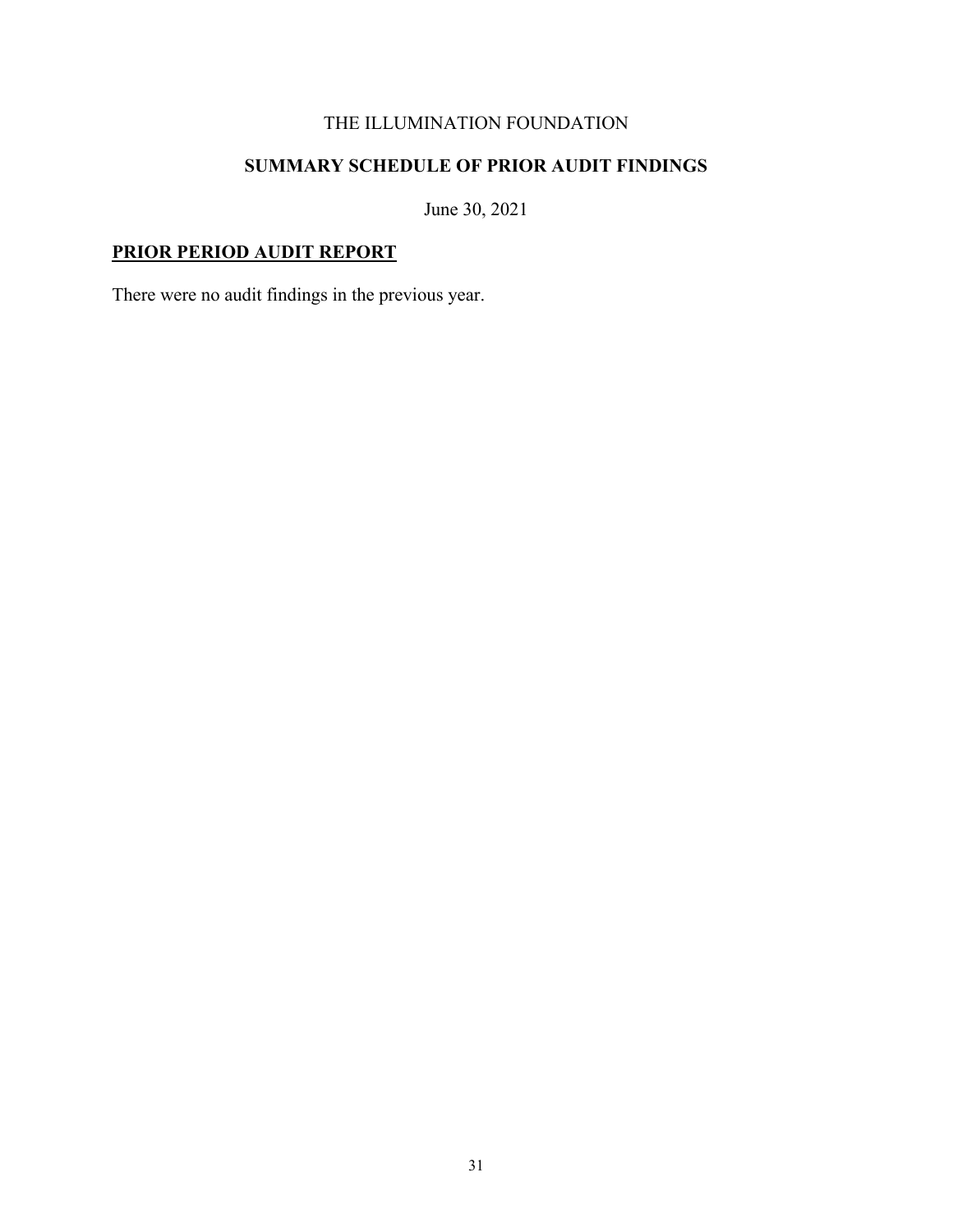## **SUMMARY SCHEDULE OF PRIOR AUDIT FINDINGS**

June 30, 2021

## **PRIOR PERIOD AUDIT REPORT**

There were no audit findings in the previous year.